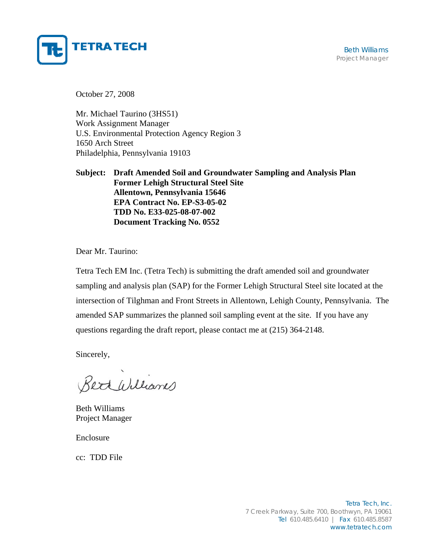

October 27, 2008

Mr. Michael Taurino (3HS51) Work Assignment Manager U.S. Environmental Protection Agency Region 3 1650 Arch Street Philadelphia, Pennsylvania 19103

**Subject: Draft Amended Soil and Groundwater Sampling and Analysis Plan Former Lehigh Structural Steel Site Allentown, Pennsylvania 15646 EPA Contract No. EP-S3-05-02 TDD No. E33-025-08-07-002 Document Tracking No. 0552**

Dear Mr. Taurino:

Tetra Tech EM Inc. (Tetra Tech) is submitting the draft amended soil and groundwater sampling and analysis plan (SAP) for the Former Lehigh Structural Steel site located at the intersection of Tilghman and Front Streets in Allentown, Lehigh County, Pennsylvania. The amended SAP summarizes the planned soil sampling event at the site. If you have any questions regarding the draft report, please contact me at (215) 364-2148.

Sincerely,

Bett Williams

Beth Williams Project Manager

Enclosure

cc: TDD File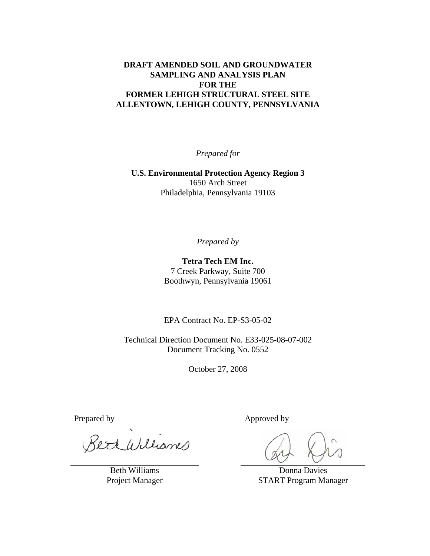#### **DRAFT AMENDED SOIL AND GROUNDWATER SAMPLING AND ANALYSIS PLAN FOR THE FORMER LEHIGH STRUCTURAL STEEL SITE ALLENTOWN, LEHIGH COUNTY, PENNSYLVANIA**

*Prepared for* 

**U.S. Environmental Protection Agency Region 3**  1650 Arch Street Philadelphia, Pennsylvania 19103

*Prepared by* 

**Tetra Tech EM Inc.**  7 Creek Parkway, Suite 700 Boothwyn, Pennsylvania 19061

EPA Contract No. EP-S3-05-02

Technical Direction Document No. E33-025-08-07-002 Document Tracking No. 0552

October 27, 2008

ert Williams

Beth Williams Project Manager

Prepared by Approved by Approved by

Donna Davies START Program Manager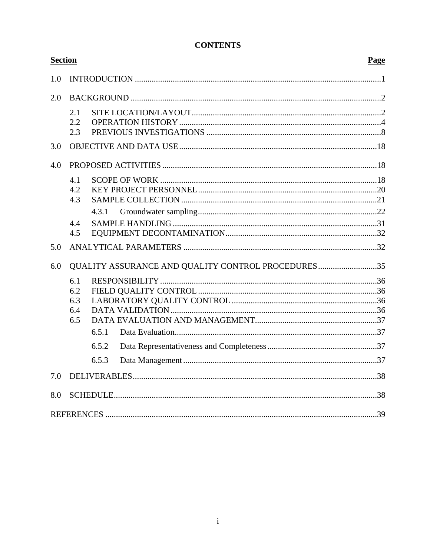| <b>Section</b> |     |       |                                                    | Page |  |
|----------------|-----|-------|----------------------------------------------------|------|--|
| 1.0            |     |       |                                                    |      |  |
| 2.0            |     |       |                                                    |      |  |
|                | 2.1 |       |                                                    |      |  |
|                | 2.2 |       |                                                    |      |  |
|                | 2.3 |       |                                                    |      |  |
| 3.0            |     |       |                                                    |      |  |
| 4.0            |     |       |                                                    |      |  |
|                | 4.1 |       |                                                    |      |  |
|                | 4.2 |       |                                                    |      |  |
|                | 4.3 |       |                                                    |      |  |
|                |     | 4.3.1 |                                                    |      |  |
|                | 4.4 |       |                                                    |      |  |
|                | 4.5 |       |                                                    |      |  |
| 5.0            |     |       |                                                    |      |  |
| 6.0            |     |       | QUALITY ASSURANCE AND QUALITY CONTROL PROCEDURES35 |      |  |
|                | 6.1 |       |                                                    |      |  |
|                | 6.2 |       |                                                    |      |  |
|                | 6.3 |       |                                                    |      |  |
|                | 6.4 |       |                                                    |      |  |
|                | 6.5 |       |                                                    |      |  |
|                |     | 6.5.1 |                                                    |      |  |
|                |     | 6.5.2 |                                                    |      |  |
|                |     | 6.5.3 |                                                    |      |  |
| 7.0            |     |       |                                                    |      |  |
| 8.0            |     |       |                                                    |      |  |
|                |     |       |                                                    |      |  |

# **CONTENTS**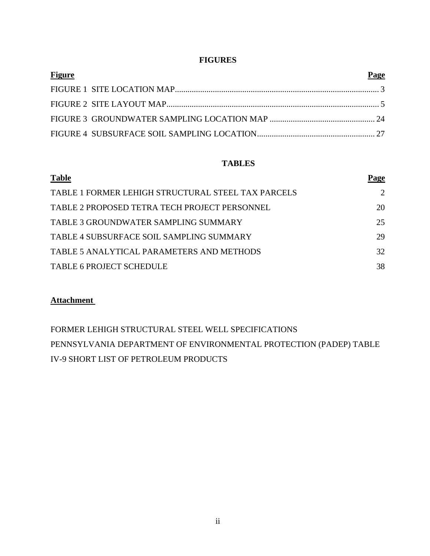### **FIGURES**

| <b>Figure</b> | Page |
|---------------|------|
|               |      |
|               |      |
|               |      |
|               |      |

### **TABLES**

| <b>Table</b>                                       | Page |
|----------------------------------------------------|------|
| TABLE 1 FORMER LEHIGH STRUCTURAL STEEL TAX PARCELS | 2    |
| TABLE 2 PROPOSED TETRA TECH PROJECT PERSONNEL      | 20   |
| TABLE 3 GROUNDWATER SAMPLING SUMMARY               | 25   |
| TABLE 4 SUBSURFACE SOIL SAMPLING SUMMARY           | 29   |
| TABLE 5 ANALYTICAL PARAMETERS AND METHODS          | 32   |
| <b>TABLE 6 PROJECT SCHEDULE</b>                    | 38   |

## **Attachment**

FORMER LEHIGH STRUCTURAL STEEL WELL SPECIFICATIONS PENNSYLVANIA DEPARTMENT OF ENVIRONMENTAL PROTECTION (PADEP) TABLE IV-9 SHORT LIST OF PETROLEUM PRODUCTS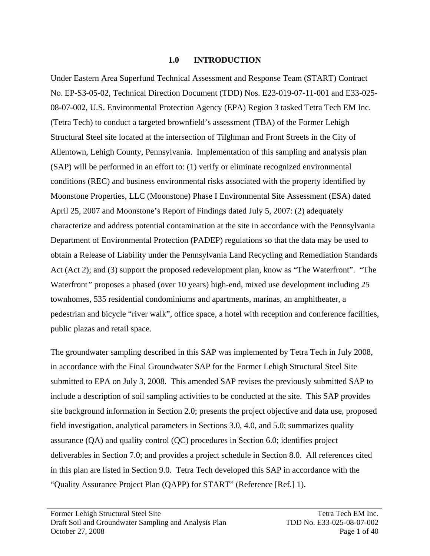### **1.0 INTRODUCTION**

Under Eastern Area Superfund Technical Assessment and Response Team (START) Contract No. EP-S3-05-02, Technical Direction Document (TDD) Nos. E23-019-07-11-001 and E33-025- 08-07-002, U.S. Environmental Protection Agency (EPA) Region 3 tasked Tetra Tech EM Inc. (Tetra Tech) to conduct a targeted brownfield's assessment (TBA) of the Former Lehigh Structural Steel site located at the intersection of Tilghman and Front Streets in the City of Allentown, Lehigh County, Pennsylvania. Implementation of this sampling and analysis plan (SAP) will be performed in an effort to: (1) verify or eliminate recognized environmental conditions (REC) and business environmental risks associated with the property identified by Moonstone Properties, LLC (Moonstone) Phase I Environmental Site Assessment (ESA) dated April 25, 2007 and Moonstone's Report of Findings dated July 5, 2007: (2) adequately characterize and address potential contamination at the site in accordance with the Pennsylvania Department of Environmental Protection (PADEP) regulations so that the data may be used to obtain a Release of Liability under the Pennsylvania Land Recycling and Remediation Standards Act (Act 2); and (3) support the proposed redevelopment plan, know as "The Waterfront". "The Waterfront*"* proposes a phased (over 10 years) high-end, mixed use development including 25 townhomes, 535 residential condominiums and apartments, marinas, an amphitheater, a pedestrian and bicycle "river walk", office space, a hotel with reception and conference facilities, public plazas and retail space.

The groundwater sampling described in this SAP was implemented by Tetra Tech in July 2008, in accordance with the Final Groundwater SAP for the Former Lehigh Structural Steel Site submitted to EPA on July 3, 2008. This amended SAP revises the previously submitted SAP to include a description of soil sampling activities to be conducted at the site. This SAP provides site background information in Section 2.0; presents the project objective and data use, proposed field investigation, analytical parameters in Sections 3.0, 4.0, and 5.0; summarizes quality assurance (QA) and quality control (QC) procedures in Section 6.0; identifies project deliverables in Section 7.0; and provides a project schedule in Section 8.0. All references cited in this plan are listed in Section 9.0. Tetra Tech developed this SAP in accordance with the "Quality Assurance Project Plan (QAPP) for START" (Reference [Ref.] 1).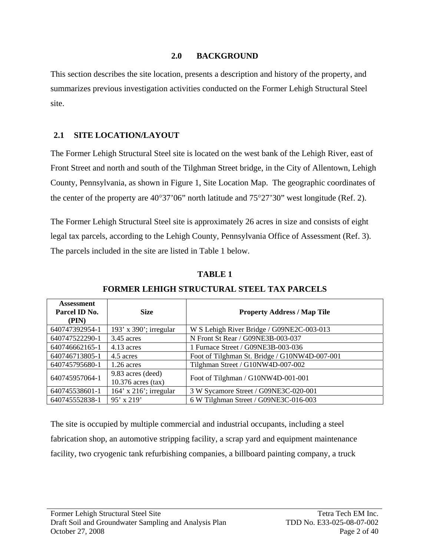### **2.0 BACKGROUND**

This section describes the site location, presents a description and history of the property, and summarizes previous investigation activities conducted on the Former Lehigh Structural Steel site.

### **2.1 SITE LOCATION/LAYOUT**

The Former Lehigh Structural Steel site is located on the west bank of the Lehigh River, east of Front Street and north and south of the Tilghman Street bridge, in the City of Allentown, Lehigh County, Pennsylvania, as shown in Figure 1, Site Location Map. The geographic coordinates of the center of the property are 40°37'06" north latitude and 75°27'30" west longitude (Ref. 2).

The Former Lehigh Structural Steel site is approximately 26 acres in size and consists of eight legal tax parcels, according to the Lehigh County, Pennsylvania Office of Assessment (Ref. 3). The parcels included in the site are listed in Table 1 below.

| <b>Assessment</b><br>Parcel ID No.<br>(PIN) | <b>Size</b>                               | <b>Property Address / Map Tile</b>            |  |  |
|---------------------------------------------|-------------------------------------------|-----------------------------------------------|--|--|
| 640747392954-1                              | 193' x 390'; irregular                    | W S Lehigh River Bridge / G09NE2C-003-013     |  |  |
| 640747522290-1                              | $3.45$ acres                              | N Front St Rear / G09NE3B-003-037             |  |  |
| 640746662165-1                              | 4.13 acres                                | 1 Furnace Street / G09NE3B-003-036            |  |  |
| 640746713805-1                              | 4.5 acres                                 | Foot of Tilghman St. Bridge / G10NW4D-007-001 |  |  |
| 640745795680-1                              | $1.26$ acres                              | Tilghman Street / G10NW4D-007-002             |  |  |
| 640745957064-1                              | 9.83 acres (deed)<br>$10.376$ acres (tax) | Foot of Tilghman / G10NW4D-001-001            |  |  |
| 640745538601-1                              | $164'$ x $216'$ ; irregular               | 3 W Sycamore Street / G09NE3C-020-001         |  |  |
| 640745552838-1                              | $95'$ x 219'                              | 6 W Tilghman Street / G09NE3C-016-003         |  |  |

**TABLE 1** 

| Assessment<br>Parcel ID No.<br>(PIN) | <b>Size</b>                               | <b>Property Address / Map Tile</b>            |  |  |
|--------------------------------------|-------------------------------------------|-----------------------------------------------|--|--|
| 640747392954-1                       | 193' x 390'; irregular                    | W S Lehigh River Bridge / G09NE2C-003-013     |  |  |
| 640747522290-1                       | $3.45$ acres                              | N Front St Rear / G09NE3B-003-037             |  |  |
| 640746662165-1                       | $4.13$ acres                              | 1 Furnace Street / G09NE3B-003-036            |  |  |
| 640746713805-1                       | 4.5 acres                                 | Foot of Tilghman St. Bridge / G10NW4D-007-001 |  |  |
| 640745795680-1                       | $1.26$ acres                              | Tilghman Street / G10NW4D-007-002             |  |  |
| 640745957064-1                       | 9.83 acres (deed)<br>$10.376$ acres (tax) | Foot of Tilghman / G10NW4D-001-001            |  |  |
| 640745538601-1                       | $164'$ x $216'$ ; irregular               | 3 W Sycamore Street / G09NE3C-020-001         |  |  |
| 640745552838-1                       | $95'$ x 219'                              | 6 W Tilghman Street / G09NE3C-016-003         |  |  |

## **FORMER LEHIGH STRUCTURAL STEEL TAX PARCELS**

The site is occupied by multiple commercial and industrial occupants, including a steel fabrication shop, an automotive stripping facility, a scrap yard and equipment maintenance facility, two cryogenic tank refurbishing companies, a billboard painting company, a truck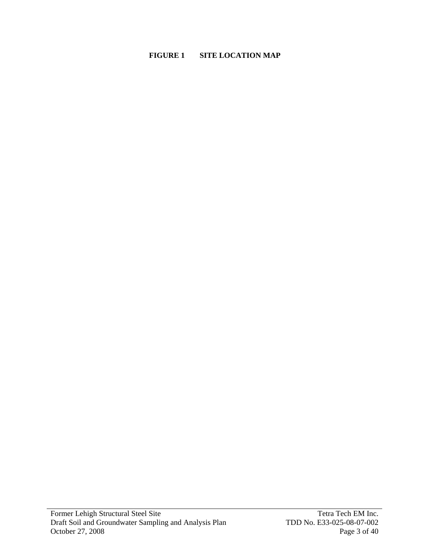### **FIGURE 1 SITE LOCATION MAP**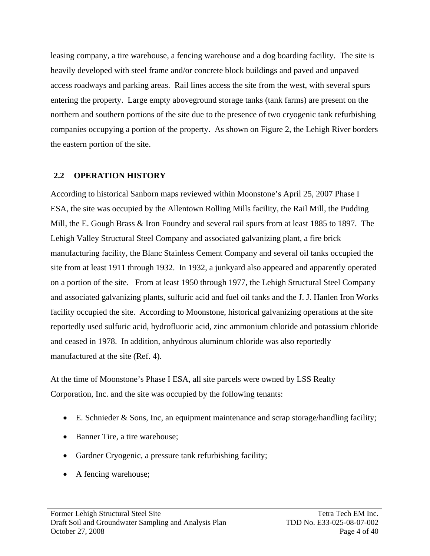leasing company, a tire warehouse, a fencing warehouse and a dog boarding facility. The site is heavily developed with steel frame and/or concrete block buildings and paved and unpaved access roadways and parking areas. Rail lines access the site from the west, with several spurs entering the property. Large empty aboveground storage tanks (tank farms) are present on the northern and southern portions of the site due to the presence of two cryogenic tank refurbishing companies occupying a portion of the property. As shown on Figure 2, the Lehigh River borders the eastern portion of the site.

## **2.2 OPERATION HISTORY**

According to historical Sanborn maps reviewed within Moonstone's April 25, 2007 Phase I ESA, the site was occupied by the Allentown Rolling Mills facility, the Rail Mill, the Pudding Mill, the E. Gough Brass & Iron Foundry and several rail spurs from at least 1885 to 1897. The Lehigh Valley Structural Steel Company and associated galvanizing plant, a fire brick manufacturing facility, the Blanc Stainless Cement Company and several oil tanks occupied the site from at least 1911 through 1932. In 1932, a junkyard also appeared and apparently operated on a portion of the site. From at least 1950 through 1977, the Lehigh Structural Steel Company and associated galvanizing plants, sulfuric acid and fuel oil tanks and the J. J. Hanlen Iron Works facility occupied the site. According to Moonstone, historical galvanizing operations at the site reportedly used sulfuric acid, hydrofluoric acid, zinc ammonium chloride and potassium chloride and ceased in 1978. In addition, anhydrous aluminum chloride was also reportedly manufactured at the site (Ref. 4).

At the time of Moonstone's Phase I ESA, all site parcels were owned by LSS Realty Corporation, Inc. and the site was occupied by the following tenants:

- E. Schnieder & Sons, Inc, an equipment maintenance and scrap storage/handling facility;
- Banner Tire, a tire warehouse;
- Gardner Cryogenic, a pressure tank refurbishing facility;
- A fencing warehouse;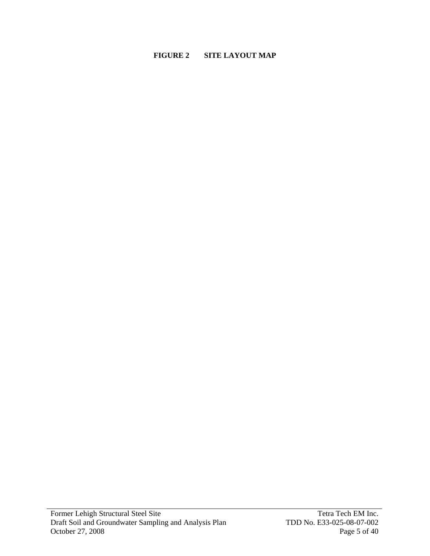### **FIGURE 2 SITE LAYOUT MAP**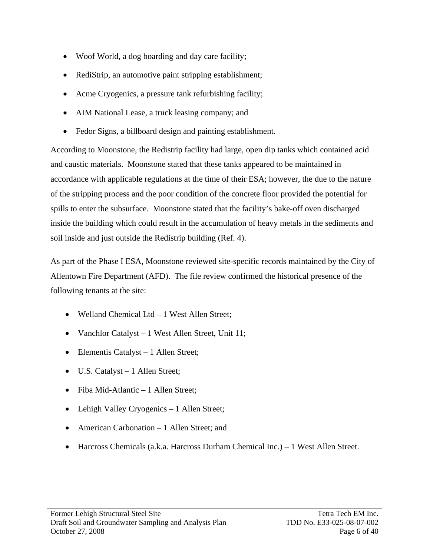- Woof World, a dog boarding and day care facility;
- RediStrip, an automotive paint stripping establishment;
- Acme Cryogenics, a pressure tank refurbishing facility;
- AIM National Lease, a truck leasing company; and
- Fedor Signs, a billboard design and painting establishment.

According to Moonstone, the Redistrip facility had large, open dip tanks which contained acid and caustic materials. Moonstone stated that these tanks appeared to be maintained in accordance with applicable regulations at the time of their ESA; however, the due to the nature of the stripping process and the poor condition of the concrete floor provided the potential for spills to enter the subsurface. Moonstone stated that the facility's bake-off oven discharged inside the building which could result in the accumulation of heavy metals in the sediments and soil inside and just outside the Redistrip building (Ref. 4).

As part of the Phase I ESA, Moonstone reviewed site-specific records maintained by the City of Allentown Fire Department (AFD). The file review confirmed the historical presence of the following tenants at the site:

- Welland Chemical Ltd 1 West Allen Street;
- Vanchlor Catalyst 1 West Allen Street, Unit 11;
- Elementis Catalyst 1 Allen Street;
- U.S. Catalyst 1 Allen Street;
- Fiba Mid-Atlantic 1 Allen Street;
- Lehigh Valley Cryogenics 1 Allen Street;
- American Carbonation 1 Allen Street; and
- Harcross Chemicals (a.k.a. Harcross Durham Chemical Inc.) 1 West Allen Street.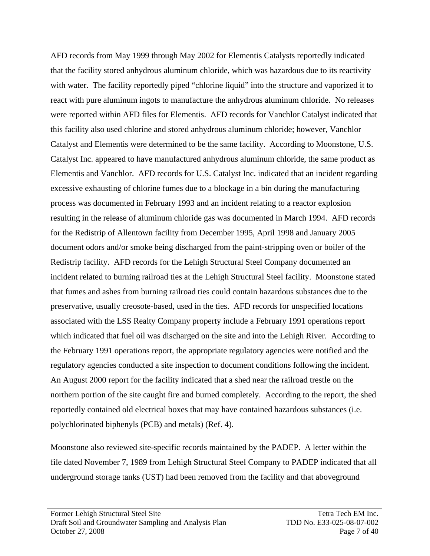AFD records from May 1999 through May 2002 for Elementis Catalysts reportedly indicated that the facility stored anhydrous aluminum chloride, which was hazardous due to its reactivity with water. The facility reportedly piped "chlorine liquid" into the structure and vaporized it to react with pure aluminum ingots to manufacture the anhydrous aluminum chloride. No releases were reported within AFD files for Elementis. AFD records for Vanchlor Catalyst indicated that this facility also used chlorine and stored anhydrous aluminum chloride; however, Vanchlor Catalyst and Elementis were determined to be the same facility. According to Moonstone, U.S. Catalyst Inc. appeared to have manufactured anhydrous aluminum chloride, the same product as Elementis and Vanchlor. AFD records for U.S. Catalyst Inc. indicated that an incident regarding excessive exhausting of chlorine fumes due to a blockage in a bin during the manufacturing process was documented in February 1993 and an incident relating to a reactor explosion resulting in the release of aluminum chloride gas was documented in March 1994. AFD records for the Redistrip of Allentown facility from December 1995, April 1998 and January 2005 document odors and/or smoke being discharged from the paint-stripping oven or boiler of the Redistrip facility. AFD records for the Lehigh Structural Steel Company documented an incident related to burning railroad ties at the Lehigh Structural Steel facility. Moonstone stated that fumes and ashes from burning railroad ties could contain hazardous substances due to the preservative, usually creosote-based, used in the ties. AFD records for unspecified locations associated with the LSS Realty Company property include a February 1991 operations report which indicated that fuel oil was discharged on the site and into the Lehigh River. According to the February 1991 operations report, the appropriate regulatory agencies were notified and the regulatory agencies conducted a site inspection to document conditions following the incident. An August 2000 report for the facility indicated that a shed near the railroad trestle on the northern portion of the site caught fire and burned completely. According to the report, the shed reportedly contained old electrical boxes that may have contained hazardous substances (i.e. polychlorinated biphenyls (PCB) and metals) (Ref. 4).

Moonstone also reviewed site-specific records maintained by the PADEP. A letter within the file dated November 7, 1989 from Lehigh Structural Steel Company to PADEP indicated that all underground storage tanks (UST) had been removed from the facility and that aboveground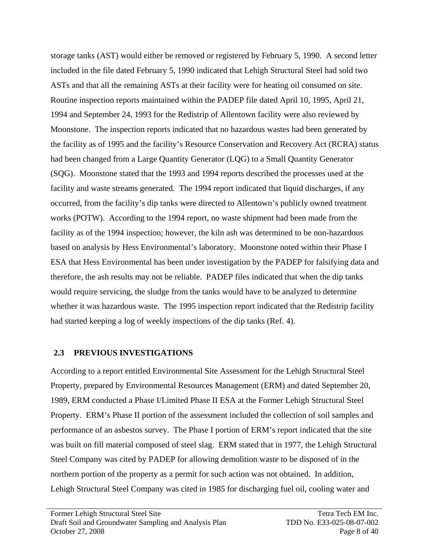storage tanks (AST) would either be removed or registered by February 5, 1990. A second letter included in the file dated February 5, 1990 indicated that Lehigh Structural Steel had sold two ASTs and that all the remaining ASTs at their facility were for heating oil consumed on site. Routine inspection reports maintained within the PADEP file dated April 10, 1995, April 21, 1994 and September 24, 1993 for the Redistrip of Allentown facility were also reviewed by Moonstone. The inspection reports indicated that no hazardous wastes had been generated by the facility as of 1995 and the facility's Resource Conservation and Recovery Act (RCRA) status had been changed from a Large Quantity Generator (LQG) to a Small Quantity Generator (SQG). Moonstone stated that the 1993 and 1994 reports described the processes used at the facility and waste streams generated. The 1994 report indicated that liquid discharges, if any occurred, from the facility's dip tanks were directed to Allentown's publicly owned treatment works (POTW). According to the 1994 report, no waste shipment had been made from the facility as of the 1994 inspection; however, the kiln ash was determined to be non-hazardous based on analysis by Hess Environmental's laboratory. Moonstone noted within their Phase I ESA that Hess Environmental has been under investigation by the PADEP for falsifying data and therefore, the ash results may not be reliable. PADEP files indicated that when the dip tanks would require servicing, the sludge from the tanks would have to be analyzed to determine whether it was hazardous waste. The 1995 inspection report indicated that the Redistrip facility had started keeping a log of weekly inspections of the dip tanks (Ref. 4).

## **2.3 PREVIOUS INVESTIGATIONS**

According to a report entitled Environmental Site Assessment for the Lehigh Structural Steel Property*,* prepared by Environmental Resources Management (ERM) and dated September 20, 1989, ERM conducted a Phase I/Limited Phase II ESA at the Former Lehigh Structural Steel Property. ERM's Phase II portion of the assessment included the collection of soil samples and performance of an asbestos survey. The Phase I portion of ERM's report indicated that the site was built on fill material composed of steel slag. ERM stated that in 1977, the Lehigh Structural Steel Company was cited by PADEP for allowing demolition waste to be disposed of in the northern portion of the property as a permit for such action was not obtained. In addition, Lehigh Structural Steel Company was cited in 1985 for discharging fuel oil, cooling water and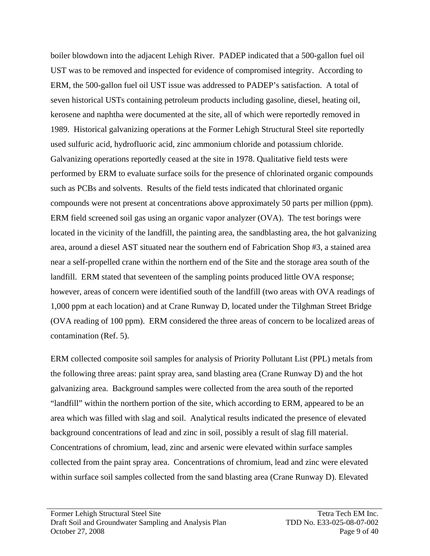boiler blowdown into the adjacent Lehigh River. PADEP indicated that a 500-gallon fuel oil UST was to be removed and inspected for evidence of compromised integrity. According to ERM, the 500-gallon fuel oil UST issue was addressed to PADEP's satisfaction. A total of seven historical USTs containing petroleum products including gasoline, diesel, heating oil, kerosene and naphtha were documented at the site, all of which were reportedly removed in 1989. Historical galvanizing operations at the Former Lehigh Structural Steel site reportedly used sulfuric acid, hydrofluoric acid, zinc ammonium chloride and potassium chloride. Galvanizing operations reportedly ceased at the site in 1978. Qualitative field tests were performed by ERM to evaluate surface soils for the presence of chlorinated organic compounds such as PCBs and solvents. Results of the field tests indicated that chlorinated organic compounds were not present at concentrations above approximately 50 parts per million (ppm). ERM field screened soil gas using an organic vapor analyzer (OVA). The test borings were located in the vicinity of the landfill, the painting area, the sandblasting area, the hot galvanizing area, around a diesel AST situated near the southern end of Fabrication Shop #3, a stained area near a self-propelled crane within the northern end of the Site and the storage area south of the landfill. ERM stated that seventeen of the sampling points produced little OVA response; however, areas of concern were identified south of the landfill (two areas with OVA readings of 1,000 ppm at each location) and at Crane Runway D, located under the Tilghman Street Bridge (OVA reading of 100 ppm). ERM considered the three areas of concern to be localized areas of contamination (Ref. 5).

ERM collected composite soil samples for analysis of Priority Pollutant List (PPL) metals from the following three areas: paint spray area, sand blasting area (Crane Runway D) and the hot galvanizing area. Background samples were collected from the area south of the reported "landfill" within the northern portion of the site, which according to ERM, appeared to be an area which was filled with slag and soil. Analytical results indicated the presence of elevated background concentrations of lead and zinc in soil, possibly a result of slag fill material. Concentrations of chromium, lead, zinc and arsenic were elevated within surface samples collected from the paint spray area. Concentrations of chromium, lead and zinc were elevated within surface soil samples collected from the sand blasting area (Crane Runway D). Elevated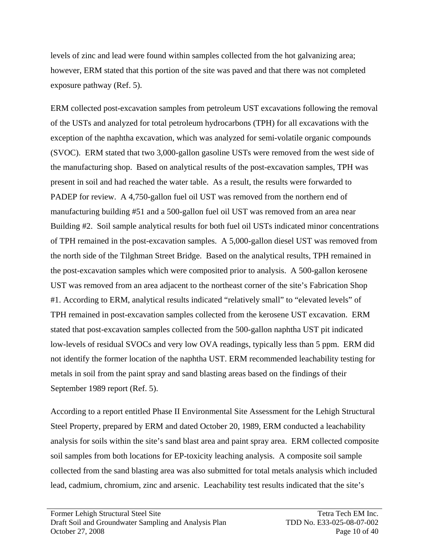levels of zinc and lead were found within samples collected from the hot galvanizing area; however, ERM stated that this portion of the site was paved and that there was not completed exposure pathway (Ref. 5).

ERM collected post-excavation samples from petroleum UST excavations following the removal of the USTs and analyzed for total petroleum hydrocarbons (TPH) for all excavations with the exception of the naphtha excavation, which was analyzed for semi-volatile organic compounds (SVOC). ERM stated that two 3,000-gallon gasoline USTs were removed from the west side of the manufacturing shop. Based on analytical results of the post-excavation samples, TPH was present in soil and had reached the water table. As a result, the results were forwarded to PADEP for review. A 4,750-gallon fuel oil UST was removed from the northern end of manufacturing building #51 and a 500-gallon fuel oil UST was removed from an area near Building #2. Soil sample analytical results for both fuel oil USTs indicated minor concentrations of TPH remained in the post-excavation samples. A 5,000-gallon diesel UST was removed from the north side of the Tilghman Street Bridge. Based on the analytical results, TPH remained in the post-excavation samples which were composited prior to analysis. A 500-gallon kerosene UST was removed from an area adjacent to the northeast corner of the site's Fabrication Shop #1. According to ERM, analytical results indicated "relatively small" to "elevated levels" of TPH remained in post-excavation samples collected from the kerosene UST excavation. ERM stated that post-excavation samples collected from the 500-gallon naphtha UST pit indicated low-levels of residual SVOCs and very low OVA readings, typically less than 5 ppm. ERM did not identify the former location of the naphtha UST. ERM recommended leachability testing for metals in soil from the paint spray and sand blasting areas based on the findings of their September 1989 report (Ref. 5).

According to a report entitled Phase II Environmental Site Assessment for the Lehigh Structural Steel Property, prepared by ERM and dated October 20, 1989, ERM conducted a leachability analysis for soils within the site's sand blast area and paint spray area. ERM collected composite soil samples from both locations for EP-toxicity leaching analysis. A composite soil sample collected from the sand blasting area was also submitted for total metals analysis which included lead, cadmium, chromium, zinc and arsenic. Leachability test results indicated that the site's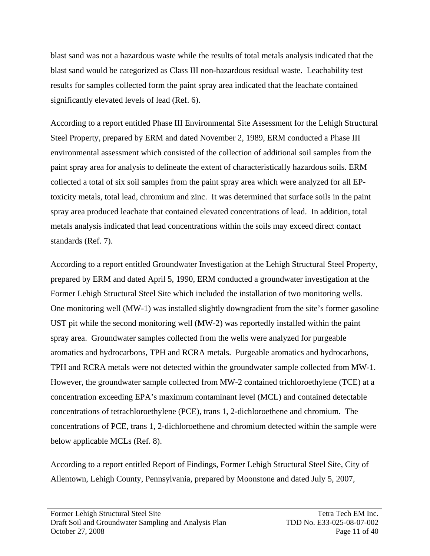blast sand was not a hazardous waste while the results of total metals analysis indicated that the blast sand would be categorized as Class III non-hazardous residual waste. Leachability test results for samples collected form the paint spray area indicated that the leachate contained significantly elevated levels of lead (Ref. 6).

According to a report entitled Phase III Environmental Site Assessment for the Lehigh Structural Steel Property, prepared by ERM and dated November 2, 1989, ERM conducted a Phase III environmental assessment which consisted of the collection of additional soil samples from the paint spray area for analysis to delineate the extent of characteristically hazardous soils. ERM collected a total of six soil samples from the paint spray area which were analyzed for all EPtoxicity metals, total lead, chromium and zinc. It was determined that surface soils in the paint spray area produced leachate that contained elevated concentrations of lead. In addition, total metals analysis indicated that lead concentrations within the soils may exceed direct contact standards (Ref. 7).

According to a report entitled Groundwater Investigation at the Lehigh Structural Steel Property, prepared by ERM and dated April 5, 1990, ERM conducted a groundwater investigation at the Former Lehigh Structural Steel Site which included the installation of two monitoring wells. One monitoring well (MW-1) was installed slightly downgradient from the site's former gasoline UST pit while the second monitoring well (MW-2) was reportedly installed within the paint spray area. Groundwater samples collected from the wells were analyzed for purgeable aromatics and hydrocarbons, TPH and RCRA metals. Purgeable aromatics and hydrocarbons, TPH and RCRA metals were not detected within the groundwater sample collected from MW-1. However, the groundwater sample collected from MW-2 contained trichloroethylene (TCE) at a concentration exceeding EPA's maximum contaminant level (MCL) and contained detectable concentrations of tetrachloroethylene (PCE), trans 1, 2-dichloroethene and chromium. The concentrations of PCE, trans 1, 2-dichloroethene and chromium detected within the sample were below applicable MCLs (Ref. 8).

According to a report entitled Report of Findings, Former Lehigh Structural Steel Site, City of Allentown, Lehigh County, Pennsylvania*,* prepared by Moonstone and dated July 5, 2007,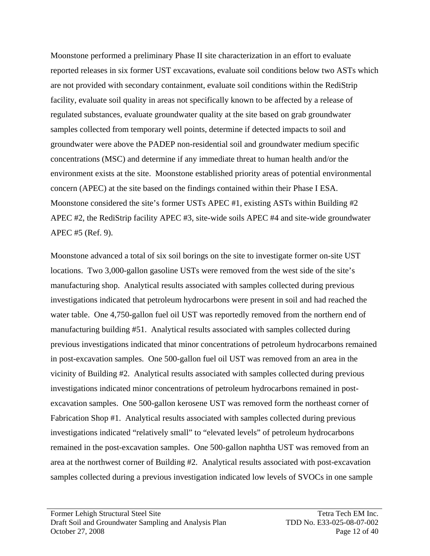Moonstone performed a preliminary Phase II site characterization in an effort to evaluate reported releases in six former UST excavations, evaluate soil conditions below two ASTs which are not provided with secondary containment, evaluate soil conditions within the RediStrip facility, evaluate soil quality in areas not specifically known to be affected by a release of regulated substances, evaluate groundwater quality at the site based on grab groundwater samples collected from temporary well points, determine if detected impacts to soil and groundwater were above the PADEP non-residential soil and groundwater medium specific concentrations (MSC) and determine if any immediate threat to human health and/or the environment exists at the site. Moonstone established priority areas of potential environmental concern (APEC) at the site based on the findings contained within their Phase I ESA. Moonstone considered the site's former USTs APEC #1, existing ASTs within Building #2 APEC #2, the RediStrip facility APEC #3, site-wide soils APEC #4 and site-wide groundwater APEC #5 (Ref. 9).

Moonstone advanced a total of six soil borings on the site to investigate former on-site UST locations. Two 3,000-gallon gasoline USTs were removed from the west side of the site's manufacturing shop. Analytical results associated with samples collected during previous investigations indicated that petroleum hydrocarbons were present in soil and had reached the water table. One 4,750-gallon fuel oil UST was reportedly removed from the northern end of manufacturing building #51. Analytical results associated with samples collected during previous investigations indicated that minor concentrations of petroleum hydrocarbons remained in post-excavation samples. One 500-gallon fuel oil UST was removed from an area in the vicinity of Building #2. Analytical results associated with samples collected during previous investigations indicated minor concentrations of petroleum hydrocarbons remained in postexcavation samples. One 500-gallon kerosene UST was removed form the northeast corner of Fabrication Shop #1. Analytical results associated with samples collected during previous investigations indicated "relatively small" to "elevated levels" of petroleum hydrocarbons remained in the post-excavation samples. One 500-gallon naphtha UST was removed from an area at the northwest corner of Building #2. Analytical results associated with post-excavation samples collected during a previous investigation indicated low levels of SVOCs in one sample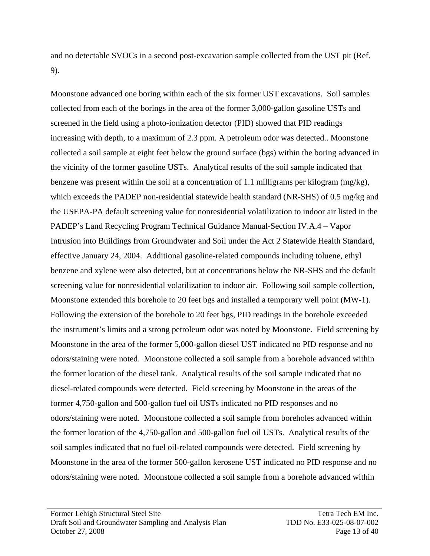and no detectable SVOCs in a second post-excavation sample collected from the UST pit (Ref. 9).

Moonstone advanced one boring within each of the six former UST excavations. Soil samples collected from each of the borings in the area of the former 3,000-gallon gasoline USTs and screened in the field using a photo-ionization detector (PID) showed that PID readings increasing with depth, to a maximum of 2.3 ppm. A petroleum odor was detected.. Moonstone collected a soil sample at eight feet below the ground surface (bgs) within the boring advanced in the vicinity of the former gasoline USTs. Analytical results of the soil sample indicated that benzene was present within the soil at a concentration of 1.1 milligrams per kilogram (mg/kg), which exceeds the PADEP non-residential statewide health standard (NR-SHS) of 0.5 mg/kg and the USEPA-PA default screening value for nonresidential volatilization to indoor air listed in the PADEP's Land Recycling Program Technical Guidance Manual-Section IV.A.4 – Vapor Intrusion into Buildings from Groundwater and Soil under the Act 2 Statewide Health Standard, effective January 24, 2004. Additional gasoline-related compounds including toluene, ethyl benzene and xylene were also detected, but at concentrations below the NR-SHS and the default screening value for nonresidential volatilization to indoor air. Following soil sample collection, Moonstone extended this borehole to 20 feet bgs and installed a temporary well point (MW-1). Following the extension of the borehole to 20 feet bgs, PID readings in the borehole exceeded the instrument's limits and a strong petroleum odor was noted by Moonstone. Field screening by Moonstone in the area of the former 5,000-gallon diesel UST indicated no PID response and no odors/staining were noted. Moonstone collected a soil sample from a borehole advanced within the former location of the diesel tank. Analytical results of the soil sample indicated that no diesel-related compounds were detected. Field screening by Moonstone in the areas of the former 4,750-gallon and 500-gallon fuel oil USTs indicated no PID responses and no odors/staining were noted. Moonstone collected a soil sample from boreholes advanced within the former location of the 4,750-gallon and 500-gallon fuel oil USTs. Analytical results of the soil samples indicated that no fuel oil-related compounds were detected. Field screening by Moonstone in the area of the former 500-gallon kerosene UST indicated no PID response and no odors/staining were noted. Moonstone collected a soil sample from a borehole advanced within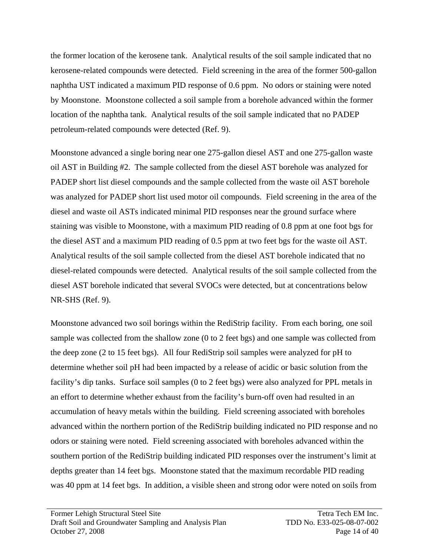the former location of the kerosene tank. Analytical results of the soil sample indicated that no kerosene-related compounds were detected. Field screening in the area of the former 500-gallon naphtha UST indicated a maximum PID response of 0.6 ppm. No odors or staining were noted by Moonstone. Moonstone collected a soil sample from a borehole advanced within the former location of the naphtha tank. Analytical results of the soil sample indicated that no PADEP petroleum-related compounds were detected (Ref. 9).

Moonstone advanced a single boring near one 275-gallon diesel AST and one 275-gallon waste oil AST in Building #2. The sample collected from the diesel AST borehole was analyzed for PADEP short list diesel compounds and the sample collected from the waste oil AST borehole was analyzed for PADEP short list used motor oil compounds. Field screening in the area of the diesel and waste oil ASTs indicated minimal PID responses near the ground surface where staining was visible to Moonstone, with a maximum PID reading of 0.8 ppm at one foot bgs for the diesel AST and a maximum PID reading of 0.5 ppm at two feet bgs for the waste oil AST. Analytical results of the soil sample collected from the diesel AST borehole indicated that no diesel-related compounds were detected. Analytical results of the soil sample collected from the diesel AST borehole indicated that several SVOCs were detected, but at concentrations below NR-SHS (Ref. 9).

Moonstone advanced two soil borings within the RediStrip facility. From each boring, one soil sample was collected from the shallow zone (0 to 2 feet bgs) and one sample was collected from the deep zone (2 to 15 feet bgs). All four RediStrip soil samples were analyzed for pH to determine whether soil pH had been impacted by a release of acidic or basic solution from the facility's dip tanks. Surface soil samples (0 to 2 feet bgs) were also analyzed for PPL metals in an effort to determine whether exhaust from the facility's burn-off oven had resulted in an accumulation of heavy metals within the building. Field screening associated with boreholes advanced within the northern portion of the RediStrip building indicated no PID response and no odors or staining were noted. Field screening associated with boreholes advanced within the southern portion of the RediStrip building indicated PID responses over the instrument's limit at depths greater than 14 feet bgs. Moonstone stated that the maximum recordable PID reading was 40 ppm at 14 feet bgs. In addition, a visible sheen and strong odor were noted on soils from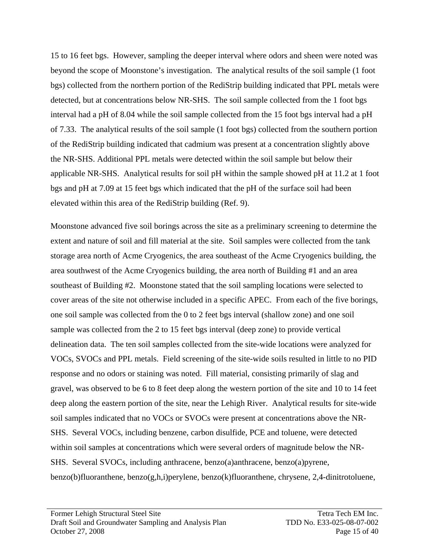15 to 16 feet bgs. However, sampling the deeper interval where odors and sheen were noted was beyond the scope of Moonstone's investigation. The analytical results of the soil sample (1 foot bgs) collected from the northern portion of the RediStrip building indicated that PPL metals were detected, but at concentrations below NR-SHS. The soil sample collected from the 1 foot bgs interval had a pH of 8.04 while the soil sample collected from the 15 foot bgs interval had a pH of 7.33. The analytical results of the soil sample (1 foot bgs) collected from the southern portion of the RediStrip building indicated that cadmium was present at a concentration slightly above the NR-SHS. Additional PPL metals were detected within the soil sample but below their applicable NR-SHS. Analytical results for soil pH within the sample showed pH at 11.2 at 1 foot bgs and pH at 7.09 at 15 feet bgs which indicated that the pH of the surface soil had been elevated within this area of the RediStrip building (Ref. 9).

Moonstone advanced five soil borings across the site as a preliminary screening to determine the extent and nature of soil and fill material at the site. Soil samples were collected from the tank storage area north of Acme Cryogenics, the area southeast of the Acme Cryogenics building, the area southwest of the Acme Cryogenics building, the area north of Building #1 and an area southeast of Building #2. Moonstone stated that the soil sampling locations were selected to cover areas of the site not otherwise included in a specific APEC. From each of the five borings, one soil sample was collected from the 0 to 2 feet bgs interval (shallow zone) and one soil sample was collected from the 2 to 15 feet bgs interval (deep zone) to provide vertical delineation data. The ten soil samples collected from the site-wide locations were analyzed for VOCs, SVOCs and PPL metals. Field screening of the site-wide soils resulted in little to no PID response and no odors or staining was noted. Fill material, consisting primarily of slag and gravel, was observed to be 6 to 8 feet deep along the western portion of the site and 10 to 14 feet deep along the eastern portion of the site, near the Lehigh River. Analytical results for site-wide soil samples indicated that no VOCs or SVOCs were present at concentrations above the NR-SHS. Several VOCs, including benzene, carbon disulfide, PCE and toluene, were detected within soil samples at concentrations which were several orders of magnitude below the NR-SHS. Several SVOCs, including anthracene, benzo(a)anthracene, benzo(a)pyrene, benzo(b)fluoranthene, benzo(g,h,i)perylene, benzo(k)fluoranthene, chrysene, 2,4-dinitrotoluene,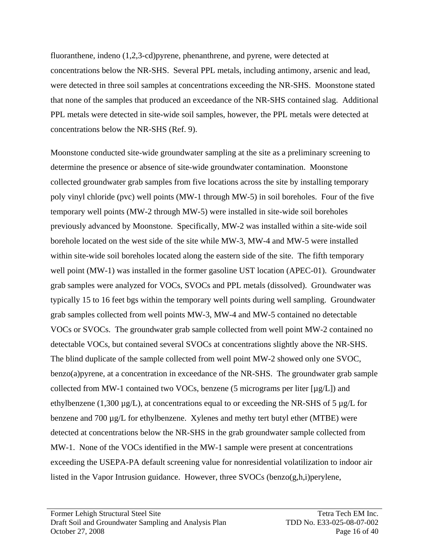fluoranthene, indeno (1,2,3-cd)pyrene, phenanthrene, and pyrene, were detected at concentrations below the NR-SHS. Several PPL metals, including antimony, arsenic and lead, were detected in three soil samples at concentrations exceeding the NR-SHS. Moonstone stated that none of the samples that produced an exceedance of the NR-SHS contained slag. Additional PPL metals were detected in site-wide soil samples, however, the PPL metals were detected at concentrations below the NR-SHS (Ref. 9).

Moonstone conducted site-wide groundwater sampling at the site as a preliminary screening to determine the presence or absence of site-wide groundwater contamination. Moonstone collected groundwater grab samples from five locations across the site by installing temporary poly vinyl chloride (pvc) well points (MW-1 through MW-5) in soil boreholes. Four of the five temporary well points (MW-2 through MW-5) were installed in site-wide soil boreholes previously advanced by Moonstone. Specifically, MW-2 was installed within a site-wide soil borehole located on the west side of the site while MW-3, MW-4 and MW-5 were installed within site-wide soil boreholes located along the eastern side of the site. The fifth temporary well point (MW-1) was installed in the former gasoline UST location (APEC-01). Groundwater grab samples were analyzed for VOCs, SVOCs and PPL metals (dissolved). Groundwater was typically 15 to 16 feet bgs within the temporary well points during well sampling. Groundwater grab samples collected from well points MW-3, MW-4 and MW-5 contained no detectable VOCs or SVOCs. The groundwater grab sample collected from well point MW-2 contained no detectable VOCs, but contained several SVOCs at concentrations slightly above the NR-SHS. The blind duplicate of the sample collected from well point MW-2 showed only one SVOC, benzo(a)pyrene, at a concentration in exceedance of the NR-SHS. The groundwater grab sample collected from MW-1 contained two VOCs, benzene (5 micrograms per liter [µg/L]) and ethylbenzene (1,300  $\mu$ g/L), at concentrations equal to or exceeding the NR-SHS of 5  $\mu$ g/L for benzene and 700 µg/L for ethylbenzene. Xylenes and methy tert butyl ether (MTBE) were detected at concentrations below the NR-SHS in the grab groundwater sample collected from MW-1. None of the VOCs identified in the MW-1 sample were present at concentrations exceeding the USEPA-PA default screening value for nonresidential volatilization to indoor air listed in the Vapor Intrusion guidance. However, three SVOCs (benzo(g,h,i)perylene,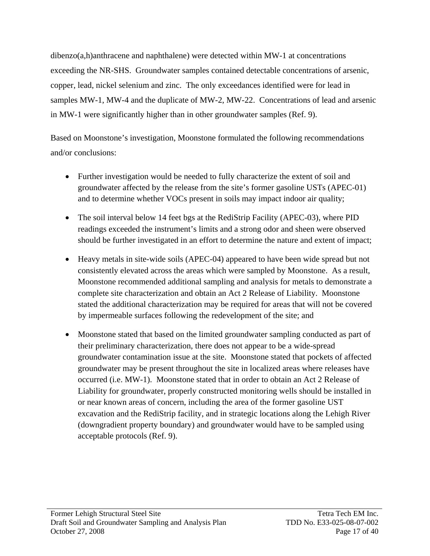dibenzo(a,h)anthracene and naphthalene) were detected within MW-1 at concentrations exceeding the NR-SHS. Groundwater samples contained detectable concentrations of arsenic, copper, lead, nickel selenium and zinc. The only exceedances identified were for lead in samples MW-1, MW-4 and the duplicate of MW-2, MW-22. Concentrations of lead and arsenic in MW-1 were significantly higher than in other groundwater samples (Ref. 9).

Based on Moonstone's investigation, Moonstone formulated the following recommendations and/or conclusions:

- Further investigation would be needed to fully characterize the extent of soil and groundwater affected by the release from the site's former gasoline USTs (APEC-01) and to determine whether VOCs present in soils may impact indoor air quality;
- The soil interval below 14 feet bgs at the RediStrip Facility (APEC-03), where PID readings exceeded the instrument's limits and a strong odor and sheen were observed should be further investigated in an effort to determine the nature and extent of impact;
- Heavy metals in site-wide soils (APEC-04) appeared to have been wide spread but not consistently elevated across the areas which were sampled by Moonstone. As a result, Moonstone recommended additional sampling and analysis for metals to demonstrate a complete site characterization and obtain an Act 2 Release of Liability. Moonstone stated the additional characterization may be required for areas that will not be covered by impermeable surfaces following the redevelopment of the site; and
- Moonstone stated that based on the limited groundwater sampling conducted as part of their preliminary characterization, there does not appear to be a wide-spread groundwater contamination issue at the site. Moonstone stated that pockets of affected groundwater may be present throughout the site in localized areas where releases have occurred (i.e. MW-1). Moonstone stated that in order to obtain an Act 2 Release of Liability for groundwater, properly constructed monitoring wells should be installed in or near known areas of concern, including the area of the former gasoline UST excavation and the RediStrip facility, and in strategic locations along the Lehigh River (downgradient property boundary) and groundwater would have to be sampled using acceptable protocols (Ref. 9).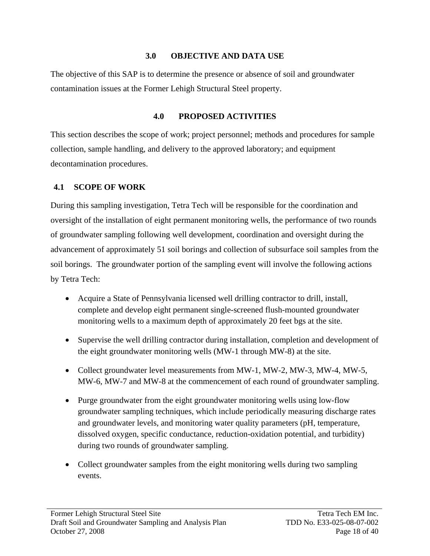### **3.0 OBJECTIVE AND DATA USE**

The objective of this SAP is to determine the presence or absence of soil and groundwater contamination issues at the Former Lehigh Structural Steel property.

## **4.0 PROPOSED ACTIVITIES**

This section describes the scope of work; project personnel; methods and procedures for sample collection, sample handling, and delivery to the approved laboratory; and equipment decontamination procedures.

## **4.1 SCOPE OF WORK**

During this sampling investigation, Tetra Tech will be responsible for the coordination and oversight of the installation of eight permanent monitoring wells, the performance of two rounds of groundwater sampling following well development, coordination and oversight during the advancement of approximately 51 soil borings and collection of subsurface soil samples from the soil borings. The groundwater portion of the sampling event will involve the following actions by Tetra Tech:

- Acquire a State of Pennsylvania licensed well drilling contractor to drill, install, complete and develop eight permanent single-screened flush-mounted groundwater monitoring wells to a maximum depth of approximately 20 feet bgs at the site.
- Supervise the well drilling contractor during installation, completion and development of the eight groundwater monitoring wells (MW-1 through MW-8) at the site.
- Collect groundwater level measurements from MW-1, MW-2, MW-3, MW-4, MW-5, MW-6, MW-7 and MW-8 at the commencement of each round of groundwater sampling.
- Purge groundwater from the eight groundwater monitoring wells using low-flow groundwater sampling techniques, which include periodically measuring discharge rates and groundwater levels, and monitoring water quality parameters (pH, temperature, dissolved oxygen, specific conductance, reduction-oxidation potential, and turbidity) during two rounds of groundwater sampling.
- Collect groundwater samples from the eight monitoring wells during two sampling events.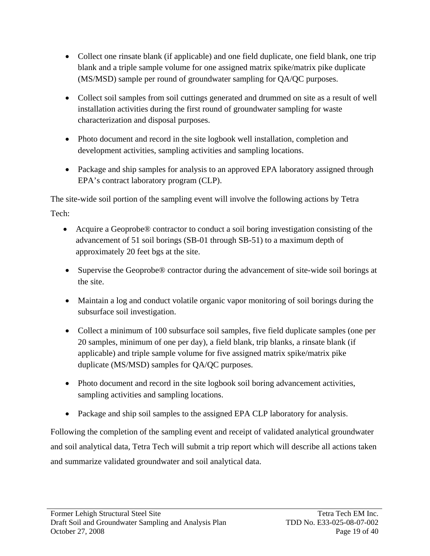- Collect one rinsate blank (if applicable) and one field duplicate, one field blank, one trip blank and a triple sample volume for one assigned matrix spike/matrix pike duplicate (MS/MSD) sample per round of groundwater sampling for QA/QC purposes.
- Collect soil samples from soil cuttings generated and drummed on site as a result of well installation activities during the first round of groundwater sampling for waste characterization and disposal purposes.
- Photo document and record in the site logbook well installation, completion and development activities, sampling activities and sampling locations.
- Package and ship samples for analysis to an approved EPA laboratory assigned through EPA's contract laboratory program (CLP).

The site-wide soil portion of the sampling event will involve the following actions by Tetra

Tech:

- Acquire a Geoprobe® contractor to conduct a soil boring investigation consisting of the advancement of 51 soil borings (SB-01 through SB-51) to a maximum depth of approximately 20 feet bgs at the site.
- Supervise the Geoprobe® contractor during the advancement of site-wide soil borings at the site.
- Maintain a log and conduct volatile organic vapor monitoring of soil borings during the subsurface soil investigation.
- Collect a minimum of 100 subsurface soil samples, five field duplicate samples (one per 20 samples, minimum of one per day), a field blank, trip blanks, a rinsate blank (if applicable) and triple sample volume for five assigned matrix spike/matrix pike duplicate (MS/MSD) samples for QA/QC purposes.
- Photo document and record in the site logbook soil boring advancement activities, sampling activities and sampling locations.
- Package and ship soil samples to the assigned EPA CLP laboratory for analysis.

Following the completion of the sampling event and receipt of validated analytical groundwater and soil analytical data, Tetra Tech will submit a trip report which will describe all actions taken and summarize validated groundwater and soil analytical data.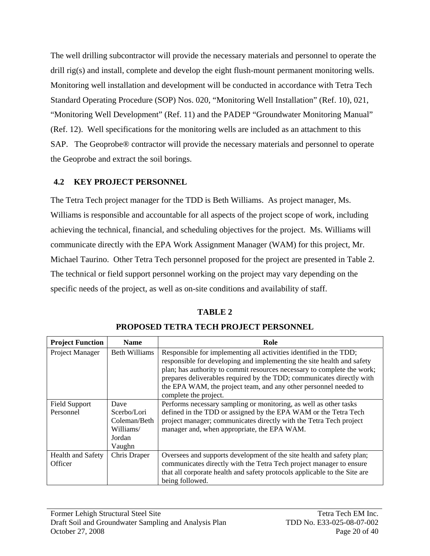The well drilling subcontractor will provide the necessary materials and personnel to operate the drill rig(s) and install, complete and develop the eight flush-mount permanent monitoring wells. Monitoring well installation and development will be conducted in accordance with Tetra Tech Standard Operating Procedure (SOP) Nos. 020, "Monitoring Well Installation" (Ref. 10), 021, "Monitoring Well Development" (Ref. 11) and the PADEP "Groundwater Monitoring Manual" (Ref. 12). Well specifications for the monitoring wells are included as an attachment to this SAP. The Geoprobe® contractor will provide the necessary materials and personnel to operate the Geoprobe and extract the soil borings.

## **4.2 KEY PROJECT PERSONNEL**

The Tetra Tech project manager for the TDD is Beth Williams. As project manager, Ms. Williams is responsible and accountable for all aspects of the project scope of work, including achieving the technical, financial, and scheduling objectives for the project. Ms. Williams will communicate directly with the EPA Work Assignment Manager (WAM) for this project, Mr. Michael Taurino. Other Tetra Tech personnel proposed for the project are presented in Table 2. The technical or field support personnel working on the project may vary depending on the specific needs of the project, as well as on-site conditions and availability of staff.

## **TABLE 2**

| <b>Project Function</b> | <b>Name</b>          | Role                                                                                                                                                                                                                                                                                                                                                                                          |  |  |
|-------------------------|----------------------|-----------------------------------------------------------------------------------------------------------------------------------------------------------------------------------------------------------------------------------------------------------------------------------------------------------------------------------------------------------------------------------------------|--|--|
| Project Manager         | <b>Beth Williams</b> | Responsible for implementing all activities identified in the TDD;<br>responsible for developing and implementing the site health and safety<br>plan; has authority to commit resources necessary to complete the work;<br>prepares deliverables required by the TDD; communicates directly with<br>the EPA WAM, the project team, and any other personnel needed to<br>complete the project. |  |  |
| <b>Field Support</b>    | Dave                 | Performs necessary sampling or monitoring, as well as other tasks                                                                                                                                                                                                                                                                                                                             |  |  |
| Personnel               | Scerbo/Lori          | defined in the TDD or assigned by the EPA WAM or the Tetra Tech                                                                                                                                                                                                                                                                                                                               |  |  |
|                         | Coleman/Beth         | project manager; communicates directly with the Tetra Tech project                                                                                                                                                                                                                                                                                                                            |  |  |
|                         | Williams/            | manager and, when appropriate, the EPA WAM.                                                                                                                                                                                                                                                                                                                                                   |  |  |
|                         | Jordan               |                                                                                                                                                                                                                                                                                                                                                                                               |  |  |
|                         | Vaughn               |                                                                                                                                                                                                                                                                                                                                                                                               |  |  |
| Health and Safety       | Chris Draper         | Oversees and supports development of the site health and safety plan;                                                                                                                                                                                                                                                                                                                         |  |  |
| Officer                 |                      | communicates directly with the Tetra Tech project manager to ensure                                                                                                                                                                                                                                                                                                                           |  |  |
|                         |                      | that all corporate health and safety protocols applicable to the Site are                                                                                                                                                                                                                                                                                                                     |  |  |
|                         |                      | being followed.                                                                                                                                                                                                                                                                                                                                                                               |  |  |

### **PROPOSED TETRA TECH PROJECT PERSONNEL**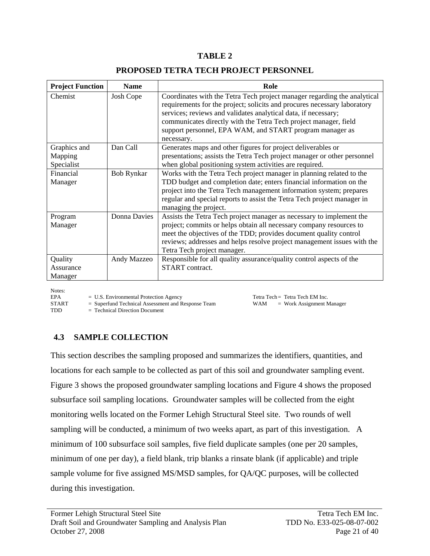#### **TABLE 2**

| <b>Project Function</b>         | <b>Name</b>       | Role                                                                                                                                                                                                                                                                                                                                                                 |  |  |
|---------------------------------|-------------------|----------------------------------------------------------------------------------------------------------------------------------------------------------------------------------------------------------------------------------------------------------------------------------------------------------------------------------------------------------------------|--|--|
| Chemist                         | Josh Cope         | Coordinates with the Tetra Tech project manager regarding the analytical<br>requirements for the project; solicits and procures necessary laboratory<br>services; reviews and validates analytical data, if necessary;<br>communicates directly with the Tetra Tech project manager, field<br>support personnel, EPA WAM, and START program manager as<br>necessary. |  |  |
| Graphics and                    | Dan Call          | Generates maps and other figures for project deliverables or                                                                                                                                                                                                                                                                                                         |  |  |
| Mapping<br>Specialist           |                   | presentations; assists the Tetra Tech project manager or other personnel<br>when global positioning system activities are required.                                                                                                                                                                                                                                  |  |  |
| Financial<br>Manager            | <b>Bob Rynkar</b> | Works with the Tetra Tech project manager in planning related to the<br>TDD budget and completion date; enters financial information on the<br>project into the Tetra Tech management information system; prepares<br>regular and special reports to assist the Tetra Tech project manager in<br>managing the project.                                               |  |  |
| Program<br>Manager              | Donna Davies      | Assists the Tetra Tech project manager as necessary to implement the<br>project; commits or helps obtain all necessary company resources to<br>meet the objectives of the TDD; provides document quality control<br>reviews; addresses and helps resolve project management issues with the<br>Tetra Tech project manager.                                           |  |  |
| Quality<br>Assurance<br>Manager | Andy Mazzeo       | Responsible for all quality assurance/quality control aspects of the<br><b>START</b> contract.                                                                                                                                                                                                                                                                       |  |  |

Notes:

EPA = U.S. Environmental Protection Agency Tetra Tech = Tetra Tech EM Inc.

START = Superfund Technical Assessment and Response Team WAM = Work Assignment Manager

TDD = Technical Direction Document

### **4.3 SAMPLE COLLECTION**

This section describes the sampling proposed and summarizes the identifiers, quantities, and locations for each sample to be collected as part of this soil and groundwater sampling event. Figure 3 shows the proposed groundwater sampling locations and Figure 4 shows the proposed subsurface soil sampling locations. Groundwater samples will be collected from the eight monitoring wells located on the Former Lehigh Structural Steel site. Two rounds of well sampling will be conducted, a minimum of two weeks apart, as part of this investigation. A minimum of 100 subsurface soil samples, five field duplicate samples (one per 20 samples, minimum of one per day), a field blank, trip blanks a rinsate blank (if applicable) and triple sample volume for five assigned MS/MSD samples, for QA/QC purposes, will be collected during this investigation.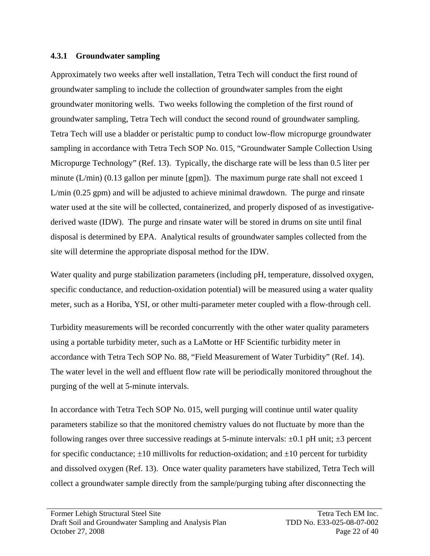### **4.3.1 Groundwater sampling**

Approximately two weeks after well installation, Tetra Tech will conduct the first round of groundwater sampling to include the collection of groundwater samples from the eight groundwater monitoring wells. Two weeks following the completion of the first round of groundwater sampling, Tetra Tech will conduct the second round of groundwater sampling. Tetra Tech will use a bladder or peristaltic pump to conduct low-flow micropurge groundwater sampling in accordance with Tetra Tech SOP No. 015, "Groundwater Sample Collection Using Micropurge Technology" (Ref. 13). Typically, the discharge rate will be less than 0.5 liter per minute  $(L/min)$  (0.13 gallon per minute [gpm]). The maximum purge rate shall not exceed 1 L/min (0.25 gpm) and will be adjusted to achieve minimal drawdown. The purge and rinsate water used at the site will be collected, containerized, and properly disposed of as investigativederived waste (IDW). The purge and rinsate water will be stored in drums on site until final disposal is determined by EPA. Analytical results of groundwater samples collected from the site will determine the appropriate disposal method for the IDW.

Water quality and purge stabilization parameters (including pH, temperature, dissolved oxygen, specific conductance, and reduction-oxidation potential) will be measured using a water quality meter, such as a Horiba, YSI, or other multi-parameter meter coupled with a flow-through cell.

Turbidity measurements will be recorded concurrently with the other water quality parameters using a portable turbidity meter, such as a LaMotte or HF Scientific turbidity meter in accordance with Tetra Tech SOP No. 88, "Field Measurement of Water Turbidity" (Ref. 14). The water level in the well and effluent flow rate will be periodically monitored throughout the purging of the well at 5-minute intervals.

In accordance with Tetra Tech SOP No. 015, well purging will continue until water quality parameters stabilize so that the monitored chemistry values do not fluctuate by more than the following ranges over three successive readings at 5-minute intervals:  $\pm 0.1$  pH unit;  $\pm 3$  percent for specific conductance;  $\pm 10$  millivolts for reduction-oxidation; and  $\pm 10$  percent for turbidity and dissolved oxygen (Ref. 13). Once water quality parameters have stabilized, Tetra Tech will collect a groundwater sample directly from the sample/purging tubing after disconnecting the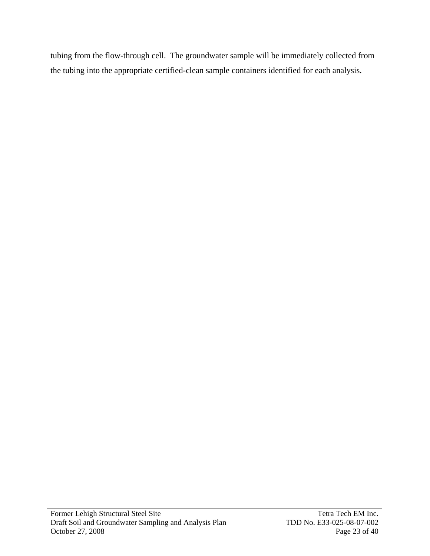tubing from the flow-through cell. The groundwater sample will be immediately collected from the tubing into the appropriate certified-clean sample containers identified for each analysis.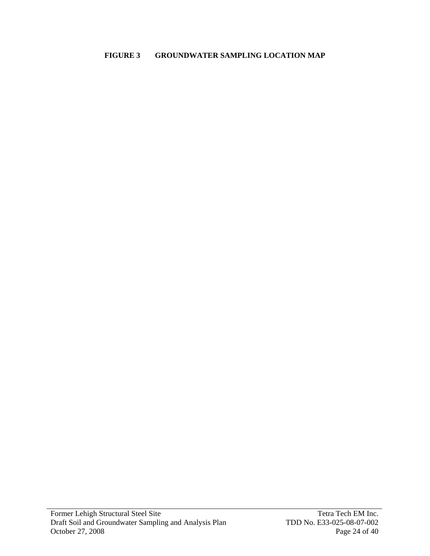### **FIGURE 3 GROUNDWATER SAMPLING LOCATION MAP**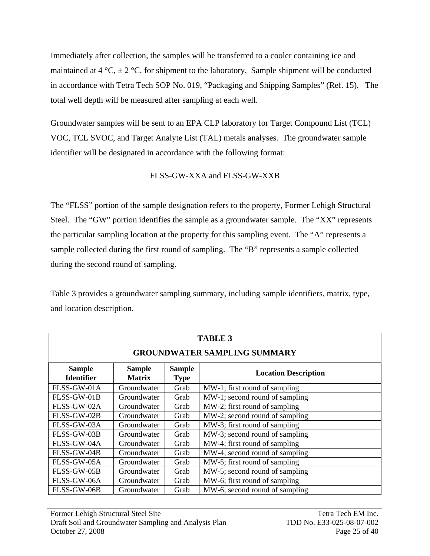Immediately after collection, the samples will be transferred to a cooler containing ice and maintained at 4 °C,  $\pm$  2 °C, for shipment to the laboratory. Sample shipment will be conducted in accordance with Tetra Tech SOP No. 019, "Packaging and Shipping Samples" (Ref. 15). The total well depth will be measured after sampling at each well.

Groundwater samples will be sent to an EPA CLP laboratory for Target Compound List (TCL) VOC, TCL SVOC, and Target Analyte List (TAL) metals analyses. The groundwater sample identifier will be designated in accordance with the following format:

## FLSS-GW-XXA and FLSS-GW-XXB

The "FLSS" portion of the sample designation refers to the property, Former Lehigh Structural Steel. The "GW" portion identifies the sample as a groundwater sample. The "XX" represents the particular sampling location at the property for this sampling event. The "A" represents a sample collected during the first round of sampling. The "B" represents a sample collected during the second round of sampling.

Table 3 provides a groundwater sampling summary, including sample identifiers, matrix, type, and location description.

| <b>TABLE 3</b>                                                                                                                      |             |      |                                |  |  |  |  |
|-------------------------------------------------------------------------------------------------------------------------------------|-------------|------|--------------------------------|--|--|--|--|
| <b>GROUNDWATER SAMPLING SUMMARY</b>                                                                                                 |             |      |                                |  |  |  |  |
| <b>Sample</b><br><b>Sample</b><br><b>Sample</b><br><b>Location Description</b><br><b>Identifier</b><br><b>Matrix</b><br><b>Type</b> |             |      |                                |  |  |  |  |
| FLSS-GW-01A                                                                                                                         | Groundwater | Grab | MW-1; first round of sampling  |  |  |  |  |
| FLSS-GW-01B                                                                                                                         | Groundwater | Grab | MW-1; second round of sampling |  |  |  |  |
| FLSS-GW-02A<br>Groundwater<br>Grab                                                                                                  |             |      | MW-2; first round of sampling  |  |  |  |  |
| FLSS-GW-02B                                                                                                                         | Groundwater | Grab | MW-2; second round of sampling |  |  |  |  |
| FLSS-GW-03A<br>Groundwater<br>Grab                                                                                                  |             |      | MW-3; first round of sampling  |  |  |  |  |
| MW-3; second round of sampling<br>FLSS-GW-03B<br>Groundwater<br>Grab                                                                |             |      |                                |  |  |  |  |
| FLSS-GW-04A                                                                                                                         | Groundwater | Grab | MW-4; first round of sampling  |  |  |  |  |
| FLSS-GW-04B                                                                                                                         | Groundwater | Grab | MW-4; second round of sampling |  |  |  |  |
| FLSS-GW-05A<br>MW-5; first round of sampling<br>Groundwater<br>Grab                                                                 |             |      |                                |  |  |  |  |
| MW-5; second round of sampling<br>FLSS-GW-05B<br>Groundwater<br>Grab                                                                |             |      |                                |  |  |  |  |
| FLSS-GW-06A<br>Groundwater<br>MW-6; first round of sampling<br>Grab                                                                 |             |      |                                |  |  |  |  |
| FLSS-GW-06B<br>MW-6; second round of sampling<br>Groundwater<br>Grab                                                                |             |      |                                |  |  |  |  |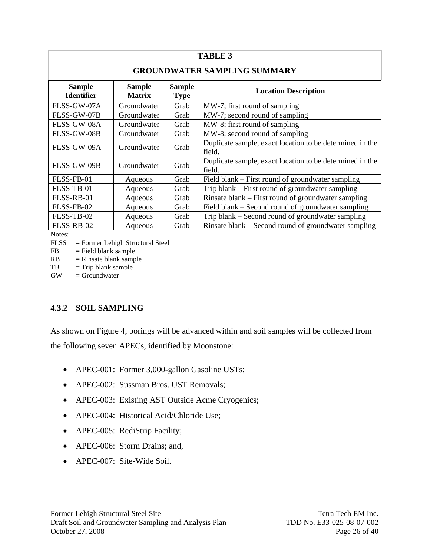| <b>TABLE 3</b>                                                                        |                                     |                                                     |                                                                    |  |  |  |  |  |
|---------------------------------------------------------------------------------------|-------------------------------------|-----------------------------------------------------|--------------------------------------------------------------------|--|--|--|--|--|
|                                                                                       | <b>GROUNDWATER SAMPLING SUMMARY</b> |                                                     |                                                                    |  |  |  |  |  |
| <b>Sample</b><br><b>Identifier</b>                                                    | <b>Location Description</b>         |                                                     |                                                                    |  |  |  |  |  |
| FLSS-GW-07A                                                                           | Groundwater                         | Grab                                                | MW-7; first round of sampling                                      |  |  |  |  |  |
| FLSS-GW-07B                                                                           | Groundwater                         | Grab                                                | MW-7; second round of sampling                                     |  |  |  |  |  |
| FLSS-GW-08A                                                                           | Groundwater                         | Grab                                                | MW-8; first round of sampling                                      |  |  |  |  |  |
| FLSS-GW-08B<br>Groundwater<br>Grab                                                    |                                     |                                                     | MW-8; second round of sampling                                     |  |  |  |  |  |
| FLSS-GW-09A                                                                           | Groundwater                         | Grab                                                | Duplicate sample, exact location to be determined in the<br>field. |  |  |  |  |  |
| FLSS-GW-09B                                                                           | Groundwater                         | Grab                                                | Duplicate sample, exact location to be determined in the<br>field. |  |  |  |  |  |
| FLSS-FB-01                                                                            | Aqueous                             | Grab                                                | Field blank – First round of groundwater sampling                  |  |  |  |  |  |
| FLSS-TB-01<br>Grab<br>Aqueous                                                         |                                     |                                                     | Trip blank – First round of groundwater sampling                   |  |  |  |  |  |
| FLSS-RB-01<br>Grab<br>Aqueous                                                         |                                     | Rinsate blank – First round of groundwater sampling |                                                                    |  |  |  |  |  |
| FLSS-FB-02<br>Grab<br>Aqueous                                                         |                                     | Field blank – Second round of groundwater sampling  |                                                                    |  |  |  |  |  |
| Trip blank – Second round of groundwater sampling<br>FLSS-TB-02<br>Grab<br>Aqueous    |                                     |                                                     |                                                                    |  |  |  |  |  |
| FLSS-RB-02<br>Rinsate blank – Second round of groundwater sampling<br>Grab<br>Aqueous |                                     |                                                     |                                                                    |  |  |  |  |  |

Notes:

FLSS = Former Lehigh Structural Steel

 $FB = Field blank sample$ 

 $RB = Rinsate blank sample$ 

 $TB = Trip$  blank sample

 $GW = Groundwater$ 

## **4.3.2 SOIL SAMPLING**

As shown on Figure 4, borings will be advanced within and soil samples will be collected from the following seven APECs, identified by Moonstone:

- APEC-001: Former 3,000-gallon Gasoline USTs;
- APEC-002: Sussman Bros. UST Removals;
- APEC-003: Existing AST Outside Acme Cryogenics;
- APEC-004: Historical Acid/Chloride Use;
- APEC-005: RediStrip Facility;
- APEC-006: Storm Drains; and,
- APEC-007: Site-Wide Soil.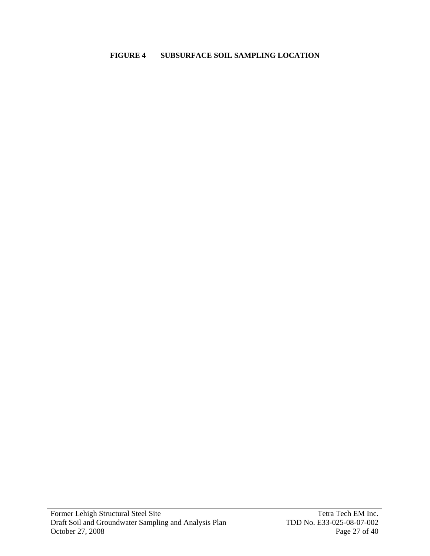### **FIGURE 4 SUBSURFACE SOIL SAMPLING LOCATION**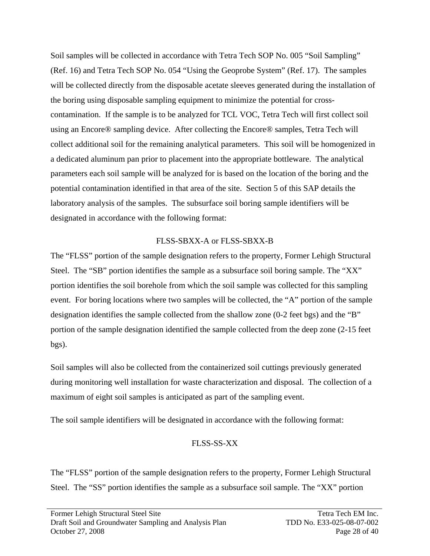Soil samples will be collected in accordance with Tetra Tech SOP No. 005 "Soil Sampling" (Ref. 16) and Tetra Tech SOP No. 054 "Using the Geoprobe System" (Ref. 17). The samples will be collected directly from the disposable acetate sleeves generated during the installation of the boring using disposable sampling equipment to minimize the potential for crosscontamination. If the sample is to be analyzed for TCL VOC, Tetra Tech will first collect soil using an Encore® sampling device. After collecting the Encore® samples, Tetra Tech will collect additional soil for the remaining analytical parameters. This soil will be homogenized in a dedicated aluminum pan prior to placement into the appropriate bottleware. The analytical parameters each soil sample will be analyzed for is based on the location of the boring and the potential contamination identified in that area of the site. Section 5 of this SAP details the laboratory analysis of the samples. The subsurface soil boring sample identifiers will be designated in accordance with the following format:

## FLSS-SBXX-A or FLSS-SBXX-B

The "FLSS" portion of the sample designation refers to the property, Former Lehigh Structural Steel. The "SB" portion identifies the sample as a subsurface soil boring sample. The "XX" portion identifies the soil borehole from which the soil sample was collected for this sampling event. For boring locations where two samples will be collected, the "A" portion of the sample designation identifies the sample collected from the shallow zone (0-2 feet bgs) and the "B" portion of the sample designation identified the sample collected from the deep zone (2-15 feet bgs).

Soil samples will also be collected from the containerized soil cuttings previously generated during monitoring well installation for waste characterization and disposal. The collection of a maximum of eight soil samples is anticipated as part of the sampling event.

The soil sample identifiers will be designated in accordance with the following format:

## FLSS-SS-XX

The "FLSS" portion of the sample designation refers to the property, Former Lehigh Structural Steel. The "SS" portion identifies the sample as a subsurface soil sample. The "XX" portion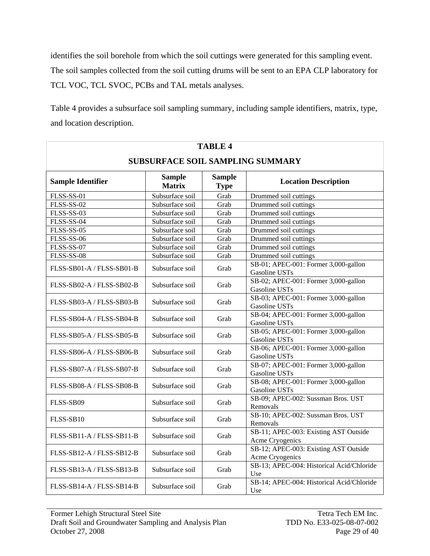identifies the soil borehole from which the soil cuttings were generated for this sampling event. The soil samples collected from the soil cutting drums will be sent to an EPA CLP laboratory for TCL VOC, TCL SVOC, PCBs and TAL metals analyses.

Table 4 provides a subsurface soil sampling summary, including sample identifiers, matrix, type, and location description.

| <b>TABLE 4</b>                          |                                |                             |                                                          |  |  |  |
|-----------------------------------------|--------------------------------|-----------------------------|----------------------------------------------------------|--|--|--|
| <b>SUBSURFACE SOIL SAMPLING SUMMARY</b> |                                |                             |                                                          |  |  |  |
| <b>Sample Identifier</b>                | <b>Sample</b><br><b>Matrix</b> | <b>Location Description</b> |                                                          |  |  |  |
| FLSS-SS-01                              | Subsurface soil                | Grab                        | Drummed soil cuttings                                    |  |  |  |
| <b>FLSS-SS-02</b>                       | Subsurface soil                | Grab                        | Drummed soil cuttings                                    |  |  |  |
| FLSS-SS-03                              | Subsurface soil                | Grab                        | Drummed soil cuttings                                    |  |  |  |
| FLSS-SS-04                              | Subsurface soil                | Grab                        | Drummed soil cuttings                                    |  |  |  |
| FLSS-SS-05                              | Subsurface soil                | Grab                        | Drummed soil cuttings                                    |  |  |  |
| <b>FLSS-SS-06</b>                       | Subsurface soil                | Grab                        | Drummed soil cuttings                                    |  |  |  |
| FLSS-SS-07                              | Subsurface soil                | Grab                        | Drummed soil cuttings                                    |  |  |  |
| FLSS-SS-08                              | Subsurface soil                | Grab                        | Drummed soil cuttings                                    |  |  |  |
| FLSS-SB01-A / FLSS-SB01-B               | Subsurface soil                | Grab                        | SB-01; APEC-001: Former 3,000-gallon<br>Gasoline USTs    |  |  |  |
| FLSS-SB02-A / FLSS-SB02-B               | Subsurface soil                | Grab                        | SB-02; APEC-001: Former 3,000-gallon<br>Gasoline USTs    |  |  |  |
| FLSS-SB03-A / FLSS-SB03-B               | Subsurface soil                | Grab                        | SB-03; APEC-001: Former 3,000-gallon<br>Gasoline USTs    |  |  |  |
| FLSS-SB04-A / FLSS-SB04-B               | Subsurface soil                | Grab                        | SB-04; APEC-001: Former 3,000-gallon<br>Gasoline USTs    |  |  |  |
| FLSS-SB05-A / FLSS-SB05-B               | Subsurface soil                | Grab                        | SB-05; APEC-001: Former 3,000-gallon<br>Gasoline USTs    |  |  |  |
| FLSS-SB06-A / FLSS-SB06-B               | Subsurface soil                | Grab                        | SB-06; APEC-001: Former 3,000-gallon<br>Gasoline USTs    |  |  |  |
| FLSS-SB07-A / FLSS-SB07-B               | Subsurface soil                | Grab                        | SB-07; APEC-001: Former 3,000-gallon<br>Gasoline USTs    |  |  |  |
| FLSS-SB08-A / FLSS-SB08-B               | Subsurface soil                | Grab                        | SB-08; APEC-001: Former 3,000-gallon<br>Gasoline USTs    |  |  |  |
| FLSS-SB09                               | Subsurface soil                | Grab                        | SB-09; APEC-002: Sussman Bros. UST<br>Removals           |  |  |  |
| FLSS-SB10                               | Subsurface soil                | Grab                        | SB-10; APEC-002: Sussman Bros. UST<br>Removals           |  |  |  |
| $FLSS-SB11-A / FLSS-SB11-B$             | Subsurface soil                | Grab                        | SB-11; APEC-003: Existing AST Outside<br>Acme Cryogenics |  |  |  |
| $FLSS-SB12-A / FLSS-SB12-B$             | Subsurface soil                | Grab                        | SB-12; APEC-003: Existing AST Outside<br>Acme Cryogenics |  |  |  |
| FLSS-SB13-A / FLSS-SB13-B               | Subsurface soil                | Grab                        | SB-13; APEC-004: Historical Acid/Chloride<br>Use         |  |  |  |
| $FLSS-SB14-A / FLSS-SB14-B$             | Subsurface soil                | Grab                        | SB-14; APEC-004: Historical Acid/Chloride<br>Use         |  |  |  |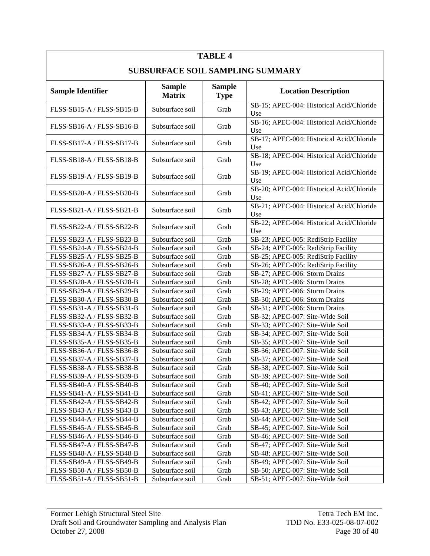| <b>SUBSURFACE SOIL SAMPLING SUMMARY</b><br><b>Sample</b><br><b>Sample</b><br><b>Sample Identifier</b><br><b>Location Description</b><br><b>Matrix</b><br><b>Type</b><br>SB-15; APEC-004: Historical Acid/Chloride<br>Subsurface soil<br>FLSS-SB15-A / FLSS-SB15-B<br>Grab<br>Use<br>SB-16; APEC-004: Historical Acid/Chloride<br>Subsurface soil<br>FLSS-SB16-A / FLSS-SB16-B<br>Grab<br>Use<br>SB-17; APEC-004: Historical Acid/Chloride<br>FLSS-SB17-A / FLSS-SB17-B<br>Subsurface soil<br>Grab<br>Use<br>SB-18; APEC-004: Historical Acid/Chloride<br>FLSS-SB18-A / FLSS-SB18-B<br>Subsurface soil<br>Grab<br>Use<br>SB-19; APEC-004: Historical Acid/Chloride<br>FLSS-SB19-A / FLSS-SB19-B<br>Subsurface soil<br>Grab<br>Use<br>SB-20; APEC-004: Historical Acid/Chloride<br>FLSS-SB20-A / FLSS-SB20-B<br>Subsurface soil<br>Grab<br>Use<br>SB-21; APEC-004: Historical Acid/Chloride<br>FLSS-SB21-A / FLSS-SB21-B<br>Subsurface soil<br>Grab<br>Use<br>SB-22; APEC-004: Historical Acid/Chloride<br>FLSS-SB22-A / FLSS-SB22-B<br>Subsurface soil<br>Grab<br>Use<br>Subsurface soil<br>Grab<br>SB-23; APEC-005: RediStrip Facility<br>FLSS-SB23-A / FLSS-SB23-B<br>Subsurface soil<br>Grab<br>SB-24; APEC-005: RediStrip Facility<br>FLSS-SB24-A / FLSS-SB24-B<br>Subsurface soil<br>Grab<br>SB-25; APEC-005: RediStrip Facility<br>FLSS-SB25-A / FLSS-SB25-B<br>Subsurface soil<br>FLSS-SB26-A / FLSS-SB26-B<br>Grab<br>SB-26; APEC-005: RediStrip Facility<br>Subsurface soil<br>FLSS-SB27-A / FLSS-SB27-B<br>Grab<br>SB-27; APEC-006: Storm Drains<br>Subsurface soil<br>SB-28; APEC-006: Storm Drains<br>FLSS-SB28-A / FLSS-SB28-B<br>Grab<br>Subsurface soil<br>Grab<br>SB-29; APEC-006: Storm Drains<br>FLSS-SB29-A / FLSS-SB29-B<br>Subsurface soil<br>FLSS-SB30-A / FLSS-SB30-B<br>Grab<br>SB-30; APEC-006: Storm Drains<br>FLSS-SB31-A / FLSS-SB31-B<br>Subsurface soil<br>Grab<br>SB-31; APEC-006: Storm Drains<br>FLSS-SB32-A / FLSS-SB32-B<br>Subsurface soil<br>Grab<br>SB-32; APEC-007: Site-Wide Soil<br>FLSS-SB33-A / FLSS-SB33-B<br>Subsurface soil<br>Grab<br>SB-33; APEC-007: Site-Wide Soil<br>SB-34; APEC-007: Site-Wide Soil<br>FLSS-SB34-A / FLSS-SB34-B<br>Subsurface soil<br>Grab<br>FLSS-SB35-A / FLSS-SB35-B<br>SB-35; APEC-007: Site-Wide Soil<br>Subsurface soil<br>Grab<br>FLSS-SB36-A / FLSS-SB36-B<br>SB-36; APEC-007: Site-Wide Soil<br>Subsurface soil<br>Grab<br>Subsurface soil<br>SB-37; APEC-007: Site-Wide Soil<br>FLSS-SB37-A / FLSS-SB37-B<br>Grab<br>Subsurface soil<br>Grab<br>FLSS-SB38-A / FLSS-SB38-B<br>SB-38; APEC-007: Site-Wide Soil<br>SB-39; APEC-007: Site-Wide Soil<br>FLSS-SB39-A / FLSS-SB39-B<br>Subsurface soil<br>Grab<br>FLSS-SB40-A / FLSS-SB40-B<br>Subsurface soil<br>Grab<br>SB-40; APEC-007: Site-Wide Soil<br>Subsurface soil<br>Grab<br>SB-41; APEC-007: Site-Wide Soil<br>FLSS-SB41-A / FLSS-SB41-B<br>FLSS-SB42-A / FLSS-SB42-B<br>Subsurface soil<br>Grab<br>SB-42; APEC-007: Site-Wide Soil<br>FLSS-SB43-A / FLSS-SB43-B<br>Subsurface soil<br>Grab<br>SB-43; APEC-007: Site-Wide Soil<br>FLSS-SB44-A / FLSS-SB44-B<br>Subsurface soil<br>Grab<br>SB-44; APEC-007: Site-Wide Soil<br>Subsurface soil<br>FLSS-SB45-A / FLSS-SB45-B<br>Grab<br>SB-45; APEC-007: Site-Wide Soil<br>Subsurface soil<br>FLSS-SB46-A / FLSS-SB46-B<br>Grab<br>SB-46; APEC-007: Site-Wide Soil<br>Subsurface soil<br>FLSS-SB47-A / FLSS-SB47-B<br>Grab<br>SB-47; APEC-007: Site-Wide Soil<br>Subsurface soil<br>FLSS-SB48-A / FLSS-SB48-B<br>Grab<br>SB-48; APEC-007: Site-Wide Soil<br>Subsurface soil<br>SB-49; APEC-007: Site-Wide Soil<br>FLSS-SB49-A / FLSS-SB49-B<br>Grab<br>Subsurface soil<br>FLSS-SB50-A / FLSS-SB50-B<br>Grab<br>SB-50; APEC-007: Site-Wide Soil<br>FLSS-SB51-A / FLSS-SB51-B<br>Subsurface soil<br>SB-51; APEC-007: Site-Wide Soil<br>Grab | <b>TABLE 4</b> |  |  |  |  |  |  |
|---------------------------------------------------------------------------------------------------------------------------------------------------------------------------------------------------------------------------------------------------------------------------------------------------------------------------------------------------------------------------------------------------------------------------------------------------------------------------------------------------------------------------------------------------------------------------------------------------------------------------------------------------------------------------------------------------------------------------------------------------------------------------------------------------------------------------------------------------------------------------------------------------------------------------------------------------------------------------------------------------------------------------------------------------------------------------------------------------------------------------------------------------------------------------------------------------------------------------------------------------------------------------------------------------------------------------------------------------------------------------------------------------------------------------------------------------------------------------------------------------------------------------------------------------------------------------------------------------------------------------------------------------------------------------------------------------------------------------------------------------------------------------------------------------------------------------------------------------------------------------------------------------------------------------------------------------------------------------------------------------------------------------------------------------------------------------------------------------------------------------------------------------------------------------------------------------------------------------------------------------------------------------------------------------------------------------------------------------------------------------------------------------------------------------------------------------------------------------------------------------------------------------------------------------------------------------------------------------------------------------------------------------------------------------------------------------------------------------------------------------------------------------------------------------------------------------------------------------------------------------------------------------------------------------------------------------------------------------------------------------------------------------------------------------------------------------------------------------------------------------------------------------------------------------------------------------------------------------------------------------------------------------------------------------------------------------------------------------------------------------------------------------------------------------------------------------------------------------------------------------------------------------------------------------------------------------------------------------------------------------------------------------------------------------------------------------------------------------------------------------------------------------------------------------------------------------|----------------|--|--|--|--|--|--|
|                                                                                                                                                                                                                                                                                                                                                                                                                                                                                                                                                                                                                                                                                                                                                                                                                                                                                                                                                                                                                                                                                                                                                                                                                                                                                                                                                                                                                                                                                                                                                                                                                                                                                                                                                                                                                                                                                                                                                                                                                                                                                                                                                                                                                                                                                                                                                                                                                                                                                                                                                                                                                                                                                                                                                                                                                                                                                                                                                                                                                                                                                                                                                                                                                                                                                                                                                                                                                                                                                                                                                                                                                                                                                                                                                                                                                           |                |  |  |  |  |  |  |
|                                                                                                                                                                                                                                                                                                                                                                                                                                                                                                                                                                                                                                                                                                                                                                                                                                                                                                                                                                                                                                                                                                                                                                                                                                                                                                                                                                                                                                                                                                                                                                                                                                                                                                                                                                                                                                                                                                                                                                                                                                                                                                                                                                                                                                                                                                                                                                                                                                                                                                                                                                                                                                                                                                                                                                                                                                                                                                                                                                                                                                                                                                                                                                                                                                                                                                                                                                                                                                                                                                                                                                                                                                                                                                                                                                                                                           |                |  |  |  |  |  |  |
|                                                                                                                                                                                                                                                                                                                                                                                                                                                                                                                                                                                                                                                                                                                                                                                                                                                                                                                                                                                                                                                                                                                                                                                                                                                                                                                                                                                                                                                                                                                                                                                                                                                                                                                                                                                                                                                                                                                                                                                                                                                                                                                                                                                                                                                                                                                                                                                                                                                                                                                                                                                                                                                                                                                                                                                                                                                                                                                                                                                                                                                                                                                                                                                                                                                                                                                                                                                                                                                                                                                                                                                                                                                                                                                                                                                                                           |                |  |  |  |  |  |  |
|                                                                                                                                                                                                                                                                                                                                                                                                                                                                                                                                                                                                                                                                                                                                                                                                                                                                                                                                                                                                                                                                                                                                                                                                                                                                                                                                                                                                                                                                                                                                                                                                                                                                                                                                                                                                                                                                                                                                                                                                                                                                                                                                                                                                                                                                                                                                                                                                                                                                                                                                                                                                                                                                                                                                                                                                                                                                                                                                                                                                                                                                                                                                                                                                                                                                                                                                                                                                                                                                                                                                                                                                                                                                                                                                                                                                                           |                |  |  |  |  |  |  |
|                                                                                                                                                                                                                                                                                                                                                                                                                                                                                                                                                                                                                                                                                                                                                                                                                                                                                                                                                                                                                                                                                                                                                                                                                                                                                                                                                                                                                                                                                                                                                                                                                                                                                                                                                                                                                                                                                                                                                                                                                                                                                                                                                                                                                                                                                                                                                                                                                                                                                                                                                                                                                                                                                                                                                                                                                                                                                                                                                                                                                                                                                                                                                                                                                                                                                                                                                                                                                                                                                                                                                                                                                                                                                                                                                                                                                           |                |  |  |  |  |  |  |
|                                                                                                                                                                                                                                                                                                                                                                                                                                                                                                                                                                                                                                                                                                                                                                                                                                                                                                                                                                                                                                                                                                                                                                                                                                                                                                                                                                                                                                                                                                                                                                                                                                                                                                                                                                                                                                                                                                                                                                                                                                                                                                                                                                                                                                                                                                                                                                                                                                                                                                                                                                                                                                                                                                                                                                                                                                                                                                                                                                                                                                                                                                                                                                                                                                                                                                                                                                                                                                                                                                                                                                                                                                                                                                                                                                                                                           |                |  |  |  |  |  |  |
|                                                                                                                                                                                                                                                                                                                                                                                                                                                                                                                                                                                                                                                                                                                                                                                                                                                                                                                                                                                                                                                                                                                                                                                                                                                                                                                                                                                                                                                                                                                                                                                                                                                                                                                                                                                                                                                                                                                                                                                                                                                                                                                                                                                                                                                                                                                                                                                                                                                                                                                                                                                                                                                                                                                                                                                                                                                                                                                                                                                                                                                                                                                                                                                                                                                                                                                                                                                                                                                                                                                                                                                                                                                                                                                                                                                                                           |                |  |  |  |  |  |  |
|                                                                                                                                                                                                                                                                                                                                                                                                                                                                                                                                                                                                                                                                                                                                                                                                                                                                                                                                                                                                                                                                                                                                                                                                                                                                                                                                                                                                                                                                                                                                                                                                                                                                                                                                                                                                                                                                                                                                                                                                                                                                                                                                                                                                                                                                                                                                                                                                                                                                                                                                                                                                                                                                                                                                                                                                                                                                                                                                                                                                                                                                                                                                                                                                                                                                                                                                                                                                                                                                                                                                                                                                                                                                                                                                                                                                                           |                |  |  |  |  |  |  |
|                                                                                                                                                                                                                                                                                                                                                                                                                                                                                                                                                                                                                                                                                                                                                                                                                                                                                                                                                                                                                                                                                                                                                                                                                                                                                                                                                                                                                                                                                                                                                                                                                                                                                                                                                                                                                                                                                                                                                                                                                                                                                                                                                                                                                                                                                                                                                                                                                                                                                                                                                                                                                                                                                                                                                                                                                                                                                                                                                                                                                                                                                                                                                                                                                                                                                                                                                                                                                                                                                                                                                                                                                                                                                                                                                                                                                           |                |  |  |  |  |  |  |
|                                                                                                                                                                                                                                                                                                                                                                                                                                                                                                                                                                                                                                                                                                                                                                                                                                                                                                                                                                                                                                                                                                                                                                                                                                                                                                                                                                                                                                                                                                                                                                                                                                                                                                                                                                                                                                                                                                                                                                                                                                                                                                                                                                                                                                                                                                                                                                                                                                                                                                                                                                                                                                                                                                                                                                                                                                                                                                                                                                                                                                                                                                                                                                                                                                                                                                                                                                                                                                                                                                                                                                                                                                                                                                                                                                                                                           |                |  |  |  |  |  |  |
|                                                                                                                                                                                                                                                                                                                                                                                                                                                                                                                                                                                                                                                                                                                                                                                                                                                                                                                                                                                                                                                                                                                                                                                                                                                                                                                                                                                                                                                                                                                                                                                                                                                                                                                                                                                                                                                                                                                                                                                                                                                                                                                                                                                                                                                                                                                                                                                                                                                                                                                                                                                                                                                                                                                                                                                                                                                                                                                                                                                                                                                                                                                                                                                                                                                                                                                                                                                                                                                                                                                                                                                                                                                                                                                                                                                                                           |                |  |  |  |  |  |  |
|                                                                                                                                                                                                                                                                                                                                                                                                                                                                                                                                                                                                                                                                                                                                                                                                                                                                                                                                                                                                                                                                                                                                                                                                                                                                                                                                                                                                                                                                                                                                                                                                                                                                                                                                                                                                                                                                                                                                                                                                                                                                                                                                                                                                                                                                                                                                                                                                                                                                                                                                                                                                                                                                                                                                                                                                                                                                                                                                                                                                                                                                                                                                                                                                                                                                                                                                                                                                                                                                                                                                                                                                                                                                                                                                                                                                                           |                |  |  |  |  |  |  |
|                                                                                                                                                                                                                                                                                                                                                                                                                                                                                                                                                                                                                                                                                                                                                                                                                                                                                                                                                                                                                                                                                                                                                                                                                                                                                                                                                                                                                                                                                                                                                                                                                                                                                                                                                                                                                                                                                                                                                                                                                                                                                                                                                                                                                                                                                                                                                                                                                                                                                                                                                                                                                                                                                                                                                                                                                                                                                                                                                                                                                                                                                                                                                                                                                                                                                                                                                                                                                                                                                                                                                                                                                                                                                                                                                                                                                           |                |  |  |  |  |  |  |
|                                                                                                                                                                                                                                                                                                                                                                                                                                                                                                                                                                                                                                                                                                                                                                                                                                                                                                                                                                                                                                                                                                                                                                                                                                                                                                                                                                                                                                                                                                                                                                                                                                                                                                                                                                                                                                                                                                                                                                                                                                                                                                                                                                                                                                                                                                                                                                                                                                                                                                                                                                                                                                                                                                                                                                                                                                                                                                                                                                                                                                                                                                                                                                                                                                                                                                                                                                                                                                                                                                                                                                                                                                                                                                                                                                                                                           |                |  |  |  |  |  |  |
|                                                                                                                                                                                                                                                                                                                                                                                                                                                                                                                                                                                                                                                                                                                                                                                                                                                                                                                                                                                                                                                                                                                                                                                                                                                                                                                                                                                                                                                                                                                                                                                                                                                                                                                                                                                                                                                                                                                                                                                                                                                                                                                                                                                                                                                                                                                                                                                                                                                                                                                                                                                                                                                                                                                                                                                                                                                                                                                                                                                                                                                                                                                                                                                                                                                                                                                                                                                                                                                                                                                                                                                                                                                                                                                                                                                                                           |                |  |  |  |  |  |  |
|                                                                                                                                                                                                                                                                                                                                                                                                                                                                                                                                                                                                                                                                                                                                                                                                                                                                                                                                                                                                                                                                                                                                                                                                                                                                                                                                                                                                                                                                                                                                                                                                                                                                                                                                                                                                                                                                                                                                                                                                                                                                                                                                                                                                                                                                                                                                                                                                                                                                                                                                                                                                                                                                                                                                                                                                                                                                                                                                                                                                                                                                                                                                                                                                                                                                                                                                                                                                                                                                                                                                                                                                                                                                                                                                                                                                                           |                |  |  |  |  |  |  |
|                                                                                                                                                                                                                                                                                                                                                                                                                                                                                                                                                                                                                                                                                                                                                                                                                                                                                                                                                                                                                                                                                                                                                                                                                                                                                                                                                                                                                                                                                                                                                                                                                                                                                                                                                                                                                                                                                                                                                                                                                                                                                                                                                                                                                                                                                                                                                                                                                                                                                                                                                                                                                                                                                                                                                                                                                                                                                                                                                                                                                                                                                                                                                                                                                                                                                                                                                                                                                                                                                                                                                                                                                                                                                                                                                                                                                           |                |  |  |  |  |  |  |
|                                                                                                                                                                                                                                                                                                                                                                                                                                                                                                                                                                                                                                                                                                                                                                                                                                                                                                                                                                                                                                                                                                                                                                                                                                                                                                                                                                                                                                                                                                                                                                                                                                                                                                                                                                                                                                                                                                                                                                                                                                                                                                                                                                                                                                                                                                                                                                                                                                                                                                                                                                                                                                                                                                                                                                                                                                                                                                                                                                                                                                                                                                                                                                                                                                                                                                                                                                                                                                                                                                                                                                                                                                                                                                                                                                                                                           |                |  |  |  |  |  |  |
|                                                                                                                                                                                                                                                                                                                                                                                                                                                                                                                                                                                                                                                                                                                                                                                                                                                                                                                                                                                                                                                                                                                                                                                                                                                                                                                                                                                                                                                                                                                                                                                                                                                                                                                                                                                                                                                                                                                                                                                                                                                                                                                                                                                                                                                                                                                                                                                                                                                                                                                                                                                                                                                                                                                                                                                                                                                                                                                                                                                                                                                                                                                                                                                                                                                                                                                                                                                                                                                                                                                                                                                                                                                                                                                                                                                                                           |                |  |  |  |  |  |  |
|                                                                                                                                                                                                                                                                                                                                                                                                                                                                                                                                                                                                                                                                                                                                                                                                                                                                                                                                                                                                                                                                                                                                                                                                                                                                                                                                                                                                                                                                                                                                                                                                                                                                                                                                                                                                                                                                                                                                                                                                                                                                                                                                                                                                                                                                                                                                                                                                                                                                                                                                                                                                                                                                                                                                                                                                                                                                                                                                                                                                                                                                                                                                                                                                                                                                                                                                                                                                                                                                                                                                                                                                                                                                                                                                                                                                                           |                |  |  |  |  |  |  |
|                                                                                                                                                                                                                                                                                                                                                                                                                                                                                                                                                                                                                                                                                                                                                                                                                                                                                                                                                                                                                                                                                                                                                                                                                                                                                                                                                                                                                                                                                                                                                                                                                                                                                                                                                                                                                                                                                                                                                                                                                                                                                                                                                                                                                                                                                                                                                                                                                                                                                                                                                                                                                                                                                                                                                                                                                                                                                                                                                                                                                                                                                                                                                                                                                                                                                                                                                                                                                                                                                                                                                                                                                                                                                                                                                                                                                           |                |  |  |  |  |  |  |
|                                                                                                                                                                                                                                                                                                                                                                                                                                                                                                                                                                                                                                                                                                                                                                                                                                                                                                                                                                                                                                                                                                                                                                                                                                                                                                                                                                                                                                                                                                                                                                                                                                                                                                                                                                                                                                                                                                                                                                                                                                                                                                                                                                                                                                                                                                                                                                                                                                                                                                                                                                                                                                                                                                                                                                                                                                                                                                                                                                                                                                                                                                                                                                                                                                                                                                                                                                                                                                                                                                                                                                                                                                                                                                                                                                                                                           |                |  |  |  |  |  |  |
|                                                                                                                                                                                                                                                                                                                                                                                                                                                                                                                                                                                                                                                                                                                                                                                                                                                                                                                                                                                                                                                                                                                                                                                                                                                                                                                                                                                                                                                                                                                                                                                                                                                                                                                                                                                                                                                                                                                                                                                                                                                                                                                                                                                                                                                                                                                                                                                                                                                                                                                                                                                                                                                                                                                                                                                                                                                                                                                                                                                                                                                                                                                                                                                                                                                                                                                                                                                                                                                                                                                                                                                                                                                                                                                                                                                                                           |                |  |  |  |  |  |  |
|                                                                                                                                                                                                                                                                                                                                                                                                                                                                                                                                                                                                                                                                                                                                                                                                                                                                                                                                                                                                                                                                                                                                                                                                                                                                                                                                                                                                                                                                                                                                                                                                                                                                                                                                                                                                                                                                                                                                                                                                                                                                                                                                                                                                                                                                                                                                                                                                                                                                                                                                                                                                                                                                                                                                                                                                                                                                                                                                                                                                                                                                                                                                                                                                                                                                                                                                                                                                                                                                                                                                                                                                                                                                                                                                                                                                                           |                |  |  |  |  |  |  |
|                                                                                                                                                                                                                                                                                                                                                                                                                                                                                                                                                                                                                                                                                                                                                                                                                                                                                                                                                                                                                                                                                                                                                                                                                                                                                                                                                                                                                                                                                                                                                                                                                                                                                                                                                                                                                                                                                                                                                                                                                                                                                                                                                                                                                                                                                                                                                                                                                                                                                                                                                                                                                                                                                                                                                                                                                                                                                                                                                                                                                                                                                                                                                                                                                                                                                                                                                                                                                                                                                                                                                                                                                                                                                                                                                                                                                           |                |  |  |  |  |  |  |
|                                                                                                                                                                                                                                                                                                                                                                                                                                                                                                                                                                                                                                                                                                                                                                                                                                                                                                                                                                                                                                                                                                                                                                                                                                                                                                                                                                                                                                                                                                                                                                                                                                                                                                                                                                                                                                                                                                                                                                                                                                                                                                                                                                                                                                                                                                                                                                                                                                                                                                                                                                                                                                                                                                                                                                                                                                                                                                                                                                                                                                                                                                                                                                                                                                                                                                                                                                                                                                                                                                                                                                                                                                                                                                                                                                                                                           |                |  |  |  |  |  |  |
|                                                                                                                                                                                                                                                                                                                                                                                                                                                                                                                                                                                                                                                                                                                                                                                                                                                                                                                                                                                                                                                                                                                                                                                                                                                                                                                                                                                                                                                                                                                                                                                                                                                                                                                                                                                                                                                                                                                                                                                                                                                                                                                                                                                                                                                                                                                                                                                                                                                                                                                                                                                                                                                                                                                                                                                                                                                                                                                                                                                                                                                                                                                                                                                                                                                                                                                                                                                                                                                                                                                                                                                                                                                                                                                                                                                                                           |                |  |  |  |  |  |  |
|                                                                                                                                                                                                                                                                                                                                                                                                                                                                                                                                                                                                                                                                                                                                                                                                                                                                                                                                                                                                                                                                                                                                                                                                                                                                                                                                                                                                                                                                                                                                                                                                                                                                                                                                                                                                                                                                                                                                                                                                                                                                                                                                                                                                                                                                                                                                                                                                                                                                                                                                                                                                                                                                                                                                                                                                                                                                                                                                                                                                                                                                                                                                                                                                                                                                                                                                                                                                                                                                                                                                                                                                                                                                                                                                                                                                                           |                |  |  |  |  |  |  |
|                                                                                                                                                                                                                                                                                                                                                                                                                                                                                                                                                                                                                                                                                                                                                                                                                                                                                                                                                                                                                                                                                                                                                                                                                                                                                                                                                                                                                                                                                                                                                                                                                                                                                                                                                                                                                                                                                                                                                                                                                                                                                                                                                                                                                                                                                                                                                                                                                                                                                                                                                                                                                                                                                                                                                                                                                                                                                                                                                                                                                                                                                                                                                                                                                                                                                                                                                                                                                                                                                                                                                                                                                                                                                                                                                                                                                           |                |  |  |  |  |  |  |
|                                                                                                                                                                                                                                                                                                                                                                                                                                                                                                                                                                                                                                                                                                                                                                                                                                                                                                                                                                                                                                                                                                                                                                                                                                                                                                                                                                                                                                                                                                                                                                                                                                                                                                                                                                                                                                                                                                                                                                                                                                                                                                                                                                                                                                                                                                                                                                                                                                                                                                                                                                                                                                                                                                                                                                                                                                                                                                                                                                                                                                                                                                                                                                                                                                                                                                                                                                                                                                                                                                                                                                                                                                                                                                                                                                                                                           |                |  |  |  |  |  |  |
|                                                                                                                                                                                                                                                                                                                                                                                                                                                                                                                                                                                                                                                                                                                                                                                                                                                                                                                                                                                                                                                                                                                                                                                                                                                                                                                                                                                                                                                                                                                                                                                                                                                                                                                                                                                                                                                                                                                                                                                                                                                                                                                                                                                                                                                                                                                                                                                                                                                                                                                                                                                                                                                                                                                                                                                                                                                                                                                                                                                                                                                                                                                                                                                                                                                                                                                                                                                                                                                                                                                                                                                                                                                                                                                                                                                                                           |                |  |  |  |  |  |  |
|                                                                                                                                                                                                                                                                                                                                                                                                                                                                                                                                                                                                                                                                                                                                                                                                                                                                                                                                                                                                                                                                                                                                                                                                                                                                                                                                                                                                                                                                                                                                                                                                                                                                                                                                                                                                                                                                                                                                                                                                                                                                                                                                                                                                                                                                                                                                                                                                                                                                                                                                                                                                                                                                                                                                                                                                                                                                                                                                                                                                                                                                                                                                                                                                                                                                                                                                                                                                                                                                                                                                                                                                                                                                                                                                                                                                                           |                |  |  |  |  |  |  |
|                                                                                                                                                                                                                                                                                                                                                                                                                                                                                                                                                                                                                                                                                                                                                                                                                                                                                                                                                                                                                                                                                                                                                                                                                                                                                                                                                                                                                                                                                                                                                                                                                                                                                                                                                                                                                                                                                                                                                                                                                                                                                                                                                                                                                                                                                                                                                                                                                                                                                                                                                                                                                                                                                                                                                                                                                                                                                                                                                                                                                                                                                                                                                                                                                                                                                                                                                                                                                                                                                                                                                                                                                                                                                                                                                                                                                           |                |  |  |  |  |  |  |
|                                                                                                                                                                                                                                                                                                                                                                                                                                                                                                                                                                                                                                                                                                                                                                                                                                                                                                                                                                                                                                                                                                                                                                                                                                                                                                                                                                                                                                                                                                                                                                                                                                                                                                                                                                                                                                                                                                                                                                                                                                                                                                                                                                                                                                                                                                                                                                                                                                                                                                                                                                                                                                                                                                                                                                                                                                                                                                                                                                                                                                                                                                                                                                                                                                                                                                                                                                                                                                                                                                                                                                                                                                                                                                                                                                                                                           |                |  |  |  |  |  |  |
|                                                                                                                                                                                                                                                                                                                                                                                                                                                                                                                                                                                                                                                                                                                                                                                                                                                                                                                                                                                                                                                                                                                                                                                                                                                                                                                                                                                                                                                                                                                                                                                                                                                                                                                                                                                                                                                                                                                                                                                                                                                                                                                                                                                                                                                                                                                                                                                                                                                                                                                                                                                                                                                                                                                                                                                                                                                                                                                                                                                                                                                                                                                                                                                                                                                                                                                                                                                                                                                                                                                                                                                                                                                                                                                                                                                                                           |                |  |  |  |  |  |  |
|                                                                                                                                                                                                                                                                                                                                                                                                                                                                                                                                                                                                                                                                                                                                                                                                                                                                                                                                                                                                                                                                                                                                                                                                                                                                                                                                                                                                                                                                                                                                                                                                                                                                                                                                                                                                                                                                                                                                                                                                                                                                                                                                                                                                                                                                                                                                                                                                                                                                                                                                                                                                                                                                                                                                                                                                                                                                                                                                                                                                                                                                                                                                                                                                                                                                                                                                                                                                                                                                                                                                                                                                                                                                                                                                                                                                                           |                |  |  |  |  |  |  |
|                                                                                                                                                                                                                                                                                                                                                                                                                                                                                                                                                                                                                                                                                                                                                                                                                                                                                                                                                                                                                                                                                                                                                                                                                                                                                                                                                                                                                                                                                                                                                                                                                                                                                                                                                                                                                                                                                                                                                                                                                                                                                                                                                                                                                                                                                                                                                                                                                                                                                                                                                                                                                                                                                                                                                                                                                                                                                                                                                                                                                                                                                                                                                                                                                                                                                                                                                                                                                                                                                                                                                                                                                                                                                                                                                                                                                           |                |  |  |  |  |  |  |
|                                                                                                                                                                                                                                                                                                                                                                                                                                                                                                                                                                                                                                                                                                                                                                                                                                                                                                                                                                                                                                                                                                                                                                                                                                                                                                                                                                                                                                                                                                                                                                                                                                                                                                                                                                                                                                                                                                                                                                                                                                                                                                                                                                                                                                                                                                                                                                                                                                                                                                                                                                                                                                                                                                                                                                                                                                                                                                                                                                                                                                                                                                                                                                                                                                                                                                                                                                                                                                                                                                                                                                                                                                                                                                                                                                                                                           |                |  |  |  |  |  |  |
|                                                                                                                                                                                                                                                                                                                                                                                                                                                                                                                                                                                                                                                                                                                                                                                                                                                                                                                                                                                                                                                                                                                                                                                                                                                                                                                                                                                                                                                                                                                                                                                                                                                                                                                                                                                                                                                                                                                                                                                                                                                                                                                                                                                                                                                                                                                                                                                                                                                                                                                                                                                                                                                                                                                                                                                                                                                                                                                                                                                                                                                                                                                                                                                                                                                                                                                                                                                                                                                                                                                                                                                                                                                                                                                                                                                                                           |                |  |  |  |  |  |  |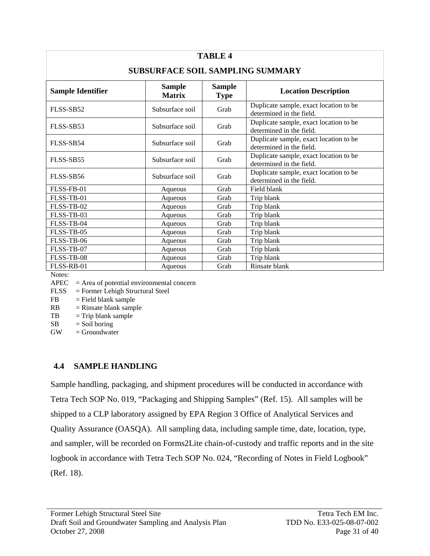| <b>TABLE 4</b>                          |                                |                              |                                                                    |  |  |  |
|-----------------------------------------|--------------------------------|------------------------------|--------------------------------------------------------------------|--|--|--|
| <b>SUBSURFACE SOIL SAMPLING SUMMARY</b> |                                |                              |                                                                    |  |  |  |
| <b>Sample Identifier</b>                | <b>Sample</b><br><b>Matrix</b> | <b>Sample</b><br><b>Type</b> | <b>Location Description</b>                                        |  |  |  |
| FLSS-SB52                               | Subsurface soil                | Grab                         | Duplicate sample, exact location to be<br>determined in the field. |  |  |  |
| FLSS-SB53                               | Subsurface soil                | Grab                         | Duplicate sample, exact location to be<br>determined in the field. |  |  |  |
| FLSS-SB54                               | Subsurface soil                | Grab                         | Duplicate sample, exact location to be<br>determined in the field. |  |  |  |
| FLSS-SB55                               | Subsurface soil                | Grab                         | Duplicate sample, exact location to be<br>determined in the field. |  |  |  |
| FLSS-SB56                               | Subsurface soil                | Grab                         | Duplicate sample, exact location to be<br>determined in the field. |  |  |  |
| FLSS-FB-01                              | Aqueous                        | Grab                         | Field blank                                                        |  |  |  |
| FLSS-TB-01                              | Aqueous                        | Grab                         | Trip blank                                                         |  |  |  |
| FLSS-TB-02                              | Aqueous                        | Grab                         | Trip blank                                                         |  |  |  |
| FLSS-TB-03                              | Aqueous                        | Grab                         | Trip blank                                                         |  |  |  |
| FLSS-TB-04                              | Aqueous                        | Grab                         | Trip blank                                                         |  |  |  |
| FLSS-TB-05                              | Aqueous                        | Grab                         | Trip blank                                                         |  |  |  |
| FLSS-TB-06                              | Aqueous                        | Grab                         | Trip blank                                                         |  |  |  |
| FLSS-TB-07                              | Aqueous                        | Grab                         | Trip blank                                                         |  |  |  |
| FLSS-TB-08                              | Aqueous                        | Grab                         | Trip blank                                                         |  |  |  |
| FLSS-RB-01                              | Aqueous                        | Grab                         | Rinsate blank                                                      |  |  |  |

Notes:

 $APEC = Area of potential environmental concern$ 

FLSS = Former Lehigh Structural Steel

- $FB = Field blank sample$
- $RB = Rinsate blank sample$
- $TB = Trip blank sample$
- $SB = Soil boring$
- $GW = Groundwater$

### **4.4 SAMPLE HANDLING**

Sample handling, packaging, and shipment procedures will be conducted in accordance with Tetra Tech SOP No. 019, "Packaging and Shipping Samples" (Ref. 15). All samples will be shipped to a CLP laboratory assigned by EPA Region 3 Office of Analytical Services and Quality Assurance (OASQA). All sampling data, including sample time, date, location, type, and sampler, will be recorded on Forms2Lite chain-of-custody and traffic reports and in the site logbook in accordance with Tetra Tech SOP No. 024, "Recording of Notes in Field Logbook" (Ref. 18).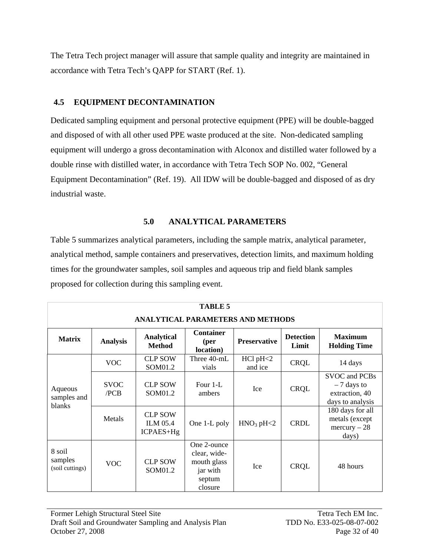The Tetra Tech project manager will assure that sample quality and integrity are maintained in accordance with Tetra Tech's QAPP for START (Ref. 1).

### **4.5 EQUIPMENT DECONTAMINATION**

Dedicated sampling equipment and personal protective equipment (PPE) will be double-bagged and disposed of with all other used PPE waste produced at the site. Non-dedicated sampling equipment will undergo a gross decontamination with Alconox and distilled water followed by a double rinse with distilled water, in accordance with Tetra Tech SOP No. 002, "General Equipment Decontamination" (Ref. 19). All IDW will be double-bagged and disposed of as dry industrial waste.

### **5.0 ANALYTICAL PARAMETERS**

Table 5 summarizes analytical parameters, including the sample matrix, analytical parameter, analytical method, sample containers and preservatives, detection limits, and maximum holding times for the groundwater samples, soil samples and aqueous trip and field blank samples proposed for collection during this sampling event.

| <b>TABLE 5</b>                           |                     |                                                |                                                                             |                                  |                           |                                                                     |
|------------------------------------------|---------------------|------------------------------------------------|-----------------------------------------------------------------------------|----------------------------------|---------------------------|---------------------------------------------------------------------|
| <b>ANALYTICAL PARAMETERS AND METHODS</b> |                     |                                                |                                                                             |                                  |                           |                                                                     |
| <b>Matrix</b>                            | <b>Analysis</b>     | <b>Analytical</b><br><b>Method</b>             | <b>Container</b><br>(per<br>location)                                       | <b>Preservative</b>              | <b>Detection</b><br>Limit | <b>Maximum</b><br><b>Holding Time</b>                               |
|                                          | <b>VOC</b>          | <b>CLP SOW</b><br>SOM01.2                      | Three 40-mL<br>vials                                                        | $HC1$ $pH<2$<br>and ice          | <b>CRQL</b>               | 14 days                                                             |
| Aqueous<br>samples and<br>blanks         | <b>SVOC</b><br>/PCB | <b>CLP SOW</b><br>SOM01.2                      | Four 1-L<br>ambers                                                          | Ice                              | <b>CRQL</b>               | SVOC and PCBs<br>$-7$ days to<br>extraction, 40<br>days to analysis |
|                                          | Metals              | <b>CLP SOW</b><br><b>ILM 05.4</b><br>ICPAES+Hg | One 1-L poly                                                                | HNO <sub>3</sub> pH <sub>2</sub> | <b>CRDL</b>               | 180 days for all<br>metals (except<br>$mercury - 28$<br>days)       |
| 8 soil<br>samples<br>(soil cuttings)     | <b>VOC</b>          | <b>CLP SOW</b><br>SOM01.2                      | One 2-ounce<br>clear, wide-<br>mouth glass<br>jar with<br>septum<br>closure | <b>Ice</b>                       | <b>CRQL</b>               | 48 hours                                                            |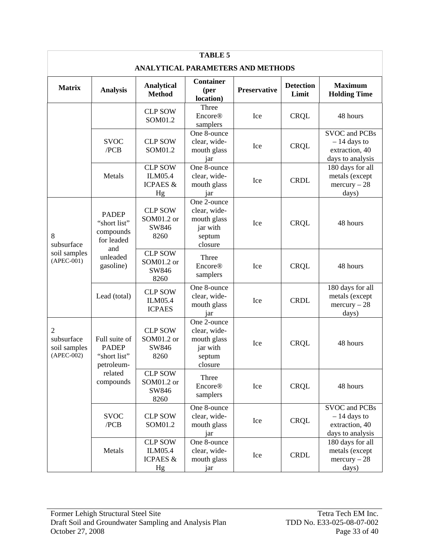| <b>TABLE 5</b>                                         |                                                             |                                                        |                                                                             |              |                           |                                                                             |
|--------------------------------------------------------|-------------------------------------------------------------|--------------------------------------------------------|-----------------------------------------------------------------------------|--------------|---------------------------|-----------------------------------------------------------------------------|
| <b>ANALYTICAL PARAMETERS AND METHODS</b>               |                                                             |                                                        |                                                                             |              |                           |                                                                             |
| <b>Matrix</b>                                          | <b>Analysis</b>                                             | <b>Analytical</b><br><b>Method</b>                     | <b>Container</b><br>( <b>per</b> )<br>location)                             | Preservative | <b>Detection</b><br>Limit | <b>Maximum</b><br><b>Holding Time</b>                                       |
|                                                        |                                                             | <b>CLP SOW</b><br>SOM01.2                              | Three<br><b>Encore®</b><br>samplers                                         | Ice          | CRQL                      | 48 hours                                                                    |
|                                                        | <b>SVOC</b><br>/PCB                                         | <b>CLP SOW</b><br>SOM01.2                              | One 8-ounce<br>clear, wide-<br>mouth glass<br>jar                           | Ice          | <b>CRQL</b>               | <b>SVOC</b> and PCBs<br>$-14$ days to<br>extraction, 40<br>days to analysis |
|                                                        | Metals                                                      | <b>CLP SOW</b><br>ILM05.4<br><b>ICPAES &amp;</b><br>Hg | One 8-ounce<br>clear, wide-<br>mouth glass<br>jar                           | Ice          | <b>CRDL</b>               | 180 days for all<br>metals (except<br>$mercury - 28$<br>days)               |
| 8<br>subsurface<br>and<br>soil samples<br>$(APEC-001)$ | <b>PADEP</b><br>"short list"<br>compounds<br>for leaded     | <b>CLP SOW</b><br>SOM01.2 or<br>SW846<br>8260          | One 2-ounce<br>clear, wide-<br>mouth glass<br>jar with<br>septum<br>closure | Ice          | <b>CRQL</b>               | 48 hours                                                                    |
|                                                        | unleaded<br>gasoline)                                       | <b>CLP SOW</b><br>SOM01.2 or<br>SW846<br>8260          | Three<br><b>Encore®</b><br>samplers                                         | Ice          | CRQL                      | 48 hours                                                                    |
|                                                        | Lead (total)                                                | <b>CLP SOW</b><br>ILM05.4<br><b>ICPAES</b>             | One 8-ounce<br>clear, wide-<br>mouth glass<br>jar                           | Ice          | <b>CRDL</b>               | 180 days for all<br>metals (except<br>$mercury - 28$<br>days)               |
| 2<br>subsurface<br>soil samples<br>$(APEC-002)$        | Full suite of<br><b>PADEP</b><br>"short list"<br>petroleum- | <b>CLP SOW</b><br>SOM01.2 or<br>SW846<br>8260          | One 2-ounce<br>clear, wide-<br>mouth glass<br>jar with<br>septum<br>closure | Ice          | <b>CRQL</b>               | 48 hours                                                                    |
|                                                        | related<br>compounds                                        | <b>CLP SOW</b><br>SOM01.2 or<br>SW846<br>8260          | Three<br><b>Encore®</b><br>samplers                                         | Ice          | <b>CRQL</b>               | 48 hours                                                                    |
|                                                        | <b>SVOC</b><br>/PCB                                         | <b>CLP SOW</b><br>SOM01.2                              | One 8-ounce<br>clear, wide-<br>mouth glass<br>jar                           | Ice          | <b>CRQL</b>               | <b>SVOC</b> and PCBs<br>$-14$ days to<br>extraction, 40<br>days to analysis |
|                                                        | Metals                                                      | <b>CLP SOW</b><br>ILM05.4<br><b>ICPAES &amp;</b><br>Hg | One 8-ounce<br>clear, wide-<br>mouth glass<br>jar                           | Ice          | <b>CRDL</b>               | 180 days for all<br>metals (except<br>$mercury - 28$<br>days)               |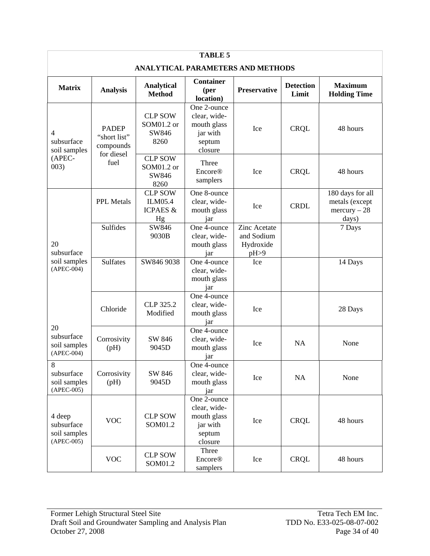| <b>TABLE 5</b>                                       |                                           |                                                        |                                                                             |                                                        |                           |                                                               |
|------------------------------------------------------|-------------------------------------------|--------------------------------------------------------|-----------------------------------------------------------------------------|--------------------------------------------------------|---------------------------|---------------------------------------------------------------|
| ANALYTICAL PARAMETERS AND METHODS                    |                                           |                                                        |                                                                             |                                                        |                           |                                                               |
| <b>Matrix</b>                                        | <b>Analysis</b>                           | <b>Analytical</b><br><b>Method</b>                     | <b>Container</b><br>(per<br>location)                                       | <b>Preservative</b>                                    | <b>Detection</b><br>Limit | <b>Maximum</b><br><b>Holding Time</b>                         |
| 4<br>subsurface<br>soil samples                      | <b>PADEP</b><br>"short list"<br>compounds | <b>CLP SOW</b><br>SOM01.2 or<br>SW846<br>8260          | One 2-ounce<br>clear, wide-<br>mouth glass<br>jar with<br>septum<br>closure | Ice                                                    | <b>CRQL</b>               | 48 hours                                                      |
| (APEC-<br>003)                                       | for diesel<br>fuel                        | <b>CLP SOW</b><br>SOM01.2 or<br>SW846<br>8260          | Three<br><b>Encore®</b><br>samplers                                         | Ice                                                    | <b>CRQL</b>               | 48 hours                                                      |
|                                                      | <b>PPL Metals</b>                         | <b>CLP SOW</b><br>ILM05.4<br><b>ICPAES &amp;</b><br>Hg | One 8-ounce<br>clear, wide-<br>mouth glass<br>jar                           | Ice                                                    | <b>CRDL</b>               | 180 days for all<br>metals (except<br>$mercury - 28$<br>days) |
| 20<br>subsurface<br>soil samples<br>$(APEC-004)$     | Sulfides                                  | SW846<br>9030B                                         | One 4-ounce<br>clear, wide-<br>mouth glass<br>jar                           | <b>Zinc Acetate</b><br>and Sodium<br>Hydroxide<br>pH>9 |                           | 7 Days                                                        |
|                                                      | <b>Sulfates</b>                           | SW846 9038                                             | One 4-ounce<br>clear, wide-<br>mouth glass<br>jar                           | Ice                                                    |                           | 14 Days                                                       |
|                                                      | Chloride                                  | CLP 325.2<br>Modified                                  | One 4-ounce<br>clear, wide-<br>mouth glass<br>jar                           | Ice                                                    |                           | 28 Days                                                       |
| 20<br>subsurface<br>soil samples<br>$(APEC-004)$     | Corrosivity<br>(pH)                       | SW 846<br>9045D                                        | One 4-ounce<br>clear, wide-<br>mouth glass<br>jar                           | Ice                                                    | <b>NA</b>                 | None                                                          |
| 8<br>subsurface<br>soil samples<br>$(APEC-005)$      | Corrosivity<br>(pH)                       | SW 846<br>9045D                                        | One 4-ounce<br>clear, wide-<br>mouth glass<br>jar                           | Ice                                                    | NA                        | None                                                          |
| 4 deep<br>subsurface<br>soil samples<br>$(APEC-005)$ | <b>VOC</b>                                | <b>CLP SOW</b><br>SOM01.2                              | One 2-ounce<br>clear, wide-<br>mouth glass<br>jar with<br>septum<br>closure | Ice                                                    | <b>CRQL</b>               | 48 hours                                                      |
|                                                      | <b>VOC</b>                                | <b>CLP SOW</b><br>SOM01.2                              | Three<br><b>Encore®</b><br>samplers                                         | Ice                                                    | <b>CRQL</b>               | 48 hours                                                      |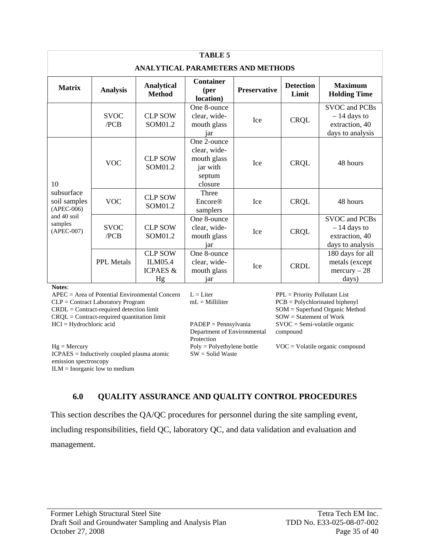| <b>TABLE 5</b>                                                                       |                     |                                                        |                                                                             |                     |                           |                                                                             |
|--------------------------------------------------------------------------------------|---------------------|--------------------------------------------------------|-----------------------------------------------------------------------------|---------------------|---------------------------|-----------------------------------------------------------------------------|
| <b>ANALYTICAL PARAMETERS AND METHODS</b>                                             |                     |                                                        |                                                                             |                     |                           |                                                                             |
| <b>Matrix</b>                                                                        | <b>Analysis</b>     | <b>Analytical</b><br><b>Method</b>                     | <b>Container</b><br>(per<br>location)                                       | <b>Preservative</b> | <b>Detection</b><br>Limit | <b>Maximum</b><br><b>Holding Time</b>                                       |
|                                                                                      | <b>SVOC</b><br>/PCB | <b>CLP SOW</b><br>SOM01.2                              | One 8-ounce<br>clear, wide-<br>mouth glass<br>iar                           | <b>Ice</b>          | <b>CRQL</b>               | SVOC and PCBs<br>$-14$ days to<br>extraction, 40<br>days to analysis        |
| 10                                                                                   | <b>VOC</b>          | <b>CLP SOW</b><br>SOM01.2                              | One 2-ounce<br>clear, wide-<br>mouth glass<br>jar with<br>septum<br>closure | <b>Ice</b>          | <b>CRQL</b>               | 48 hours                                                                    |
| subsurface<br>soil samples<br>$(APEC-006)$<br>and 40 soil<br>samples<br>$(APEC-007)$ | <b>VOC</b>          | <b>CLP SOW</b><br>SOM01.2                              | Three<br><b>Encore®</b><br>samplers                                         | <b>Ice</b>          | <b>CRQL</b>               | 48 hours                                                                    |
|                                                                                      | <b>SVOC</b><br>/PCB | <b>CLP SOW</b><br>SOM01.2                              | One 8-ounce<br>clear, wide-<br>mouth glass<br>jar                           | <b>Ice</b>          | <b>CRQL</b>               | <b>SVOC</b> and PCBs<br>$-14$ days to<br>extraction, 40<br>days to analysis |
|                                                                                      | <b>PPL Metals</b>   | <b>CLP SOW</b><br>ILM05.4<br><b>ICPAES &amp;</b><br>Hg | One 8-ounce<br>clear, wide-<br>mouth glass<br>jar                           | Ice                 | <b>CRDL</b>               | 180 days for all<br>metals (except<br>$mercury - 28$<br>days)               |

**Notes**:

APEC = Area of Potential Environmental Concern L = Liter PPL = Priority Pollutant List  $CLP =$  Contract Laboratory Program  $ML =$  Millilliter  $PCB =$  Polychlorinated biphenyl CRDL = Contract-required detection limit SOM = Superfund Organic Method CRQL = Contract-required quantitation limit HCl = Hydrochloric acid PADEP = Pennsylvania

Hg = Mercury Poly = Polyethylene bottle VOC = Volatile organic compound ICPAES = Inductively coupled plasma atomic emission spectroscopy  $ILM = Inorganic low to medium$ 

mL = Milliliter

Department of Environmental Protection SW = Solid Waste

SOW = Statement of Work SVOC = Semi-volatile organic compound

### **6.0 QUALITY ASSURANCE AND QUALITY CONTROL PROCEDURES**

This section describes the QA/QC procedures for personnel during the site sampling event, including responsibilities, field QC, laboratory QC, and data validation and evaluation and management.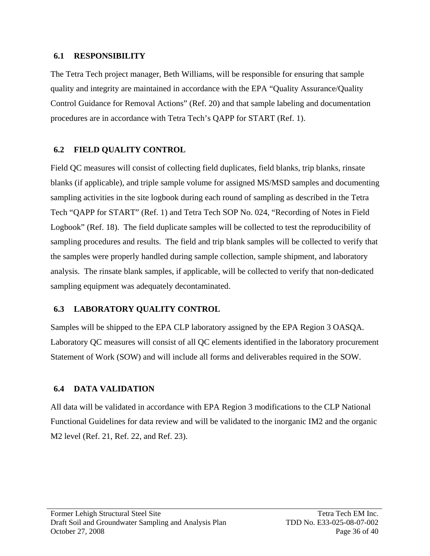### **6.1 RESPONSIBILITY**

The Tetra Tech project manager, Beth Williams, will be responsible for ensuring that sample quality and integrity are maintained in accordance with the EPA "Quality Assurance/Quality Control Guidance for Removal Actions" (Ref. 20) and that sample labeling and documentation procedures are in accordance with Tetra Tech's QAPP for START (Ref. 1).

## **6.2 FIELD QUALITY CONTROL**

Field QC measures will consist of collecting field duplicates, field blanks, trip blanks, rinsate blanks (if applicable), and triple sample volume for assigned MS/MSD samples and documenting sampling activities in the site logbook during each round of sampling as described in the Tetra Tech "QAPP for START" (Ref. 1) and Tetra Tech SOP No. 024, "Recording of Notes in Field Logbook" (Ref. 18). The field duplicate samples will be collected to test the reproducibility of sampling procedures and results. The field and trip blank samples will be collected to verify that the samples were properly handled during sample collection, sample shipment, and laboratory analysis. The rinsate blank samples, if applicable, will be collected to verify that non-dedicated sampling equipment was adequately decontaminated.

## **6.3 LABORATORY QUALITY CONTROL**

Samples will be shipped to the EPA CLP laboratory assigned by the EPA Region 3 OASQA. Laboratory QC measures will consist of all QC elements identified in the laboratory procurement Statement of Work (SOW) and will include all forms and deliverables required in the SOW.

# **6.4 DATA VALIDATION**

All data will be validated in accordance with EPA Region 3 modifications to the CLP National Functional Guidelines for data review and will be validated to the inorganic IM2 and the organic M2 level (Ref. 21, Ref. 22, and Ref. 23).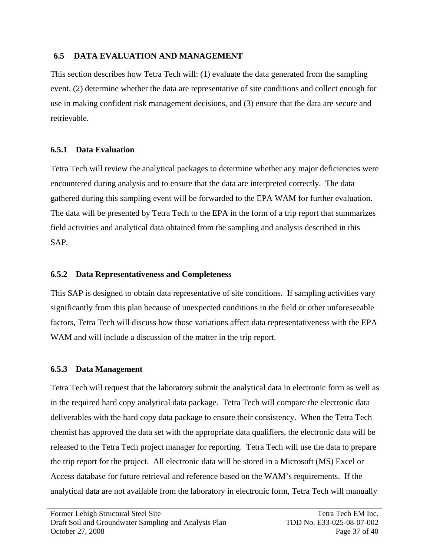### **6.5 DATA EVALUATION AND MANAGEMENT**

This section describes how Tetra Tech will: (1) evaluate the data generated from the sampling event, (2) determine whether the data are representative of site conditions and collect enough for use in making confident risk management decisions, and (3) ensure that the data are secure and retrievable.

## **6.5.1 Data Evaluation**

Tetra Tech will review the analytical packages to determine whether any major deficiencies were encountered during analysis and to ensure that the data are interpreted correctly. The data gathered during this sampling event will be forwarded to the EPA WAM for further evaluation. The data will be presented by Tetra Tech to the EPA in the form of a trip report that summarizes field activities and analytical data obtained from the sampling and analysis described in this SAP.

## **6.5.2 Data Representativeness and Completeness**

This SAP is designed to obtain data representative of site conditions.If sampling activities vary significantly from this plan because of unexpected conditions in the field or other unforeseeable factors, Tetra Tech will discuss how those variations affect data representativeness with the EPA WAM and will include a discussion of the matter in the trip report.

# **6.5.3 Data Management**

Tetra Tech will request that the laboratory submit the analytical data in electronic form as well as in the required hard copy analytical data package. Tetra Tech will compare the electronic data deliverables with the hard copy data package to ensure their consistency. When the Tetra Tech chemist has approved the data set with the appropriate data qualifiers, the electronic data will be released to the Tetra Tech project manager for reporting. Tetra Tech will use the data to prepare the trip report for the project. All electronic data will be stored in a Microsoft (MS) Excel or Access database for future retrieval and reference based on the WAM's requirements. If the analytical data are not available from the laboratory in electronic form, Tetra Tech will manually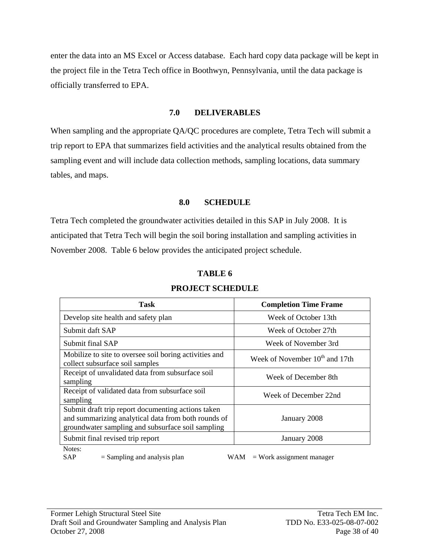enter the data into an MS Excel or Access database. Each hard copy data package will be kept in the project file in the Tetra Tech office in Boothwyn, Pennsylvania, until the data package is officially transferred to EPA.

### **7.0 DELIVERABLES**

When sampling and the appropriate QA/QC procedures are complete, Tetra Tech will submit a trip report to EPA that summarizes field activities and the analytical results obtained from the sampling event and will include data collection methods, sampling locations, data summary tables, and maps.

### **8.0 SCHEDULE**

Tetra Tech completed the groundwater activities detailed in this SAP in July 2008. It is anticipated that Tetra Tech will begin the soil boring installation and sampling activities in November 2008. Table 6 below provides the anticipated project schedule.

| Task                                                                                                                                                           | <b>Completion Time Frame</b>        |
|----------------------------------------------------------------------------------------------------------------------------------------------------------------|-------------------------------------|
| Develop site health and safety plan                                                                                                                            | Week of October 13th                |
| Submit daft SAP                                                                                                                                                | Week of October 27th                |
| Submit final SAP                                                                                                                                               | Week of November 3rd                |
| Mobilize to site to oversee soil boring activities and<br>collect subsurface soil samples                                                                      | Week of November $10^{th}$ and 17th |
| Receipt of unvalidated data from subsurface soil<br>sampling                                                                                                   | Week of December 8th                |
| Receipt of validated data from subsurface soil<br>sampling                                                                                                     | Week of December 22nd               |
| Submit draft trip report documenting actions taken<br>and summarizing analytical data from both rounds of<br>groundwater sampling and subsurface soil sampling | January 2008                        |
| Submit final revised trip report                                                                                                                               | January 2008                        |
| Notes:                                                                                                                                                         |                                     |

## **TABLE 6 PROJECT SCHEDULE**

 $SAP$  = Sampling and analysis plan WAM = Work assignment manager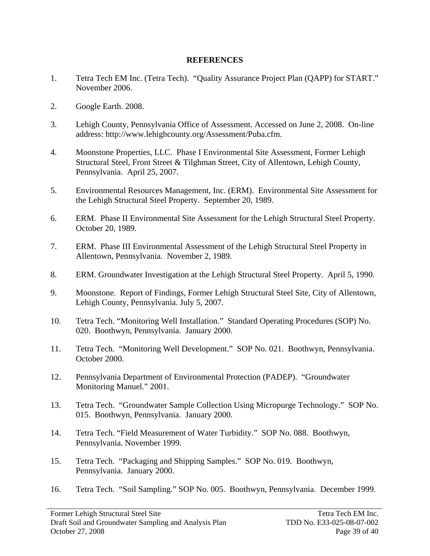### **REFERENCES**

- 1. Tetra Tech EM Inc. (Tetra Tech). "Quality Assurance Project Plan (QAPP) for START." November 2006.
- 2. Google Earth. 2008.
- 3. Lehigh County, Pennsylvania Office of Assessment. Accessed on June 2, 2008. On-line address: http://www.lehighcounty.org/Assessment/Puba.cfm.
- 4. Moonstone Properties, LLC. Phase I Environmental Site Assessment, Former Lehigh Structural Steel, Front Street & Tilghman Street, City of Allentown, Lehigh County, Pennsylvania. April 25, 2007.
- 5. Environmental Resources Management, Inc. (ERM). Environmental Site Assessment for the Lehigh Structural Steel Property. September 20, 1989.
- 6. ERM. Phase II Environmental Site Assessment for the Lehigh Structural Steel Property. October 20, 1989.
- 7. ERM. Phase III Environmental Assessment of the Lehigh Structural Steel Property in Allentown, Pennsylvania. November 2, 1989.
- 8. ERM. Groundwater Investigation at the Lehigh Structural Steel Property. April 5, 1990.
- 9. Moonstone. Report of Findings, Former Lehigh Structural Steel Site, City of Allentown, Lehigh County, Pennsylvania. July 5, 2007.
- 10. Tetra Tech. "Monitoring Well Installation." Standard Operating Procedures (SOP) No. 020. Boothwyn, Pennsylvania. January 2000.
- 11. Tetra Tech. "Monitoring Well Development." SOP No. 021. Boothwyn, Pennsylvania. October 2000.
- 12. Pennsylvania Department of Environmental Protection (PADEP). "Groundwater Monitoring Manuel." 2001.
- 13. Tetra Tech. "Groundwater Sample Collection Using Micropurge Technology." SOP No. 015. Boothwyn, Pennsylvania. January 2000.
- 14. Tetra Tech. "Field Measurement of Water Turbidity." SOP No. 088. Boothwyn, Pennsylvania. November 1999.
- 15. Tetra Tech. "Packaging and Shipping Samples." SOP No. 019. Boothwyn, Pennsylvania. January 2000.
- 16. Tetra Tech. "Soil Sampling." SOP No. 005. Boothwyn, Pennsylvania. December 1999.